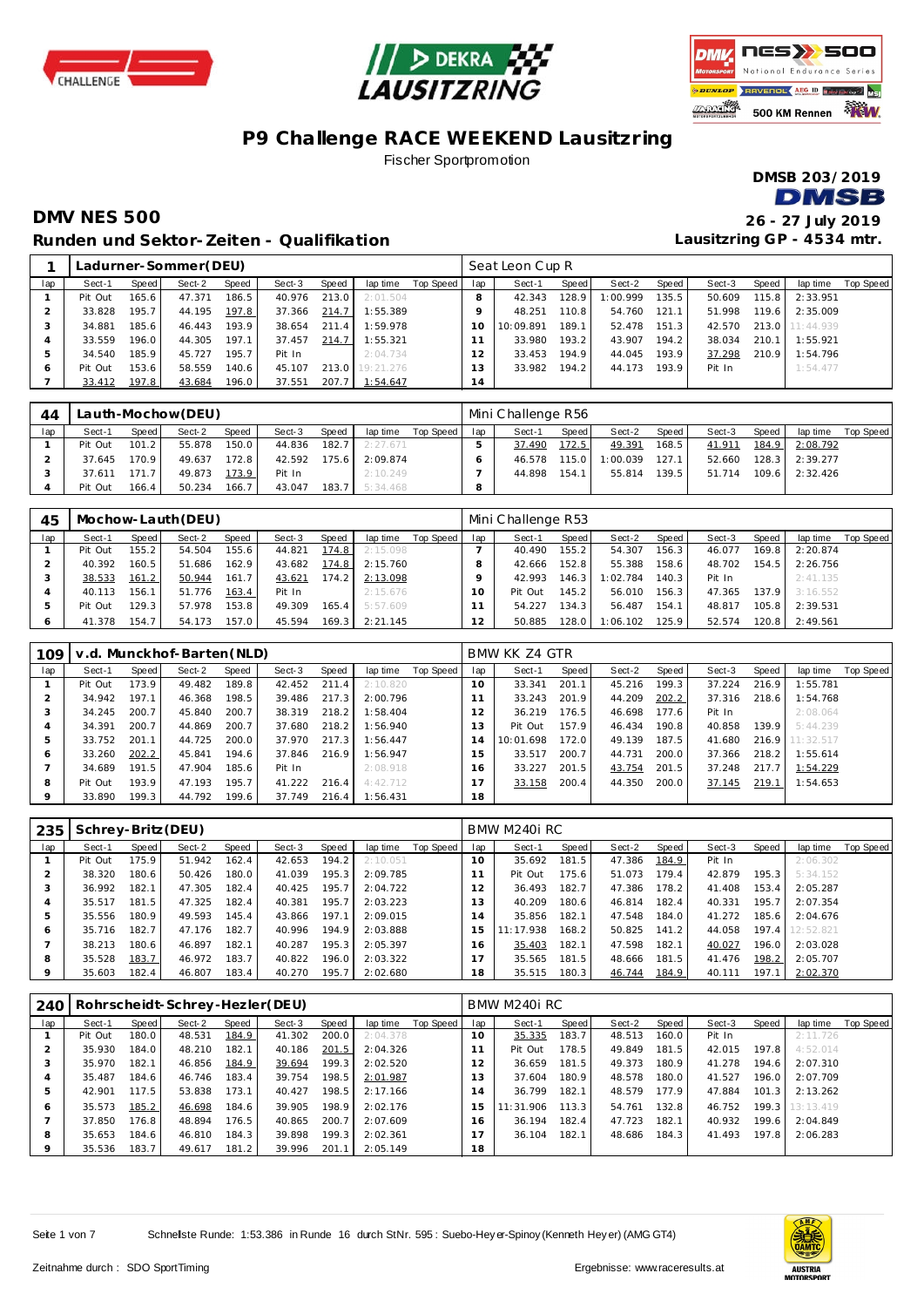





### **P9 Challenge RACE WEEKEND Lausitzring** Fischer Sportpromotion

**DMSB 203/2019 DMSB** 

#### **DMV NES 500 26 - 27 July 2019 Runden und Sektor-Zeiten - Qualifikation**

|     |         |       | Ladurner-Sommer(DEU) |        |        |       |           |           |                | Seat Leon Cup R |       |          |       |        |       |           |           |
|-----|---------|-------|----------------------|--------|--------|-------|-----------|-----------|----------------|-----------------|-------|----------|-------|--------|-------|-----------|-----------|
| lap | Sect-1  | Speed | Sect-2               | Speed  | Sect-3 | Speed | lap time  | Top Speed | lap            | Sect-1          | Speed | Sect-2   | Speed | Sect-3 | Speed | lap time  | Top Speed |
|     | Pit Out | 165.6 | 47.371               | 186.5. | 40.976 | 213.0 | 2:01.504  |           |                | 42.343          | 128.9 | 1:00.999 | 135.5 | 50.609 | 115.8 | 2:33.951  |           |
|     | 33.828  | 195.7 | 44.195               | 197.8  | 37.366 | 214.7 | 1:55.389  |           |                | 48.251          | 110.8 | 54.760   | 121.1 | 51.998 | 119.6 | 2:35.009  |           |
|     | 34.881  | 185.6 | 46.443               | 193.9  | 38.654 | 211.4 | 1:59.978  |           |                | 10:09.891       | 189.1 | 52.478   | 151.3 | 42.570 | 213.0 | 11:44.939 |           |
|     | 33.559  | 196.0 | 44.305               | 197.1  | 37.457 | 214.7 | 1:55.321  |           |                | 33.980          | 193.2 | 43.907   | 194.2 | 38.034 | 210.1 | 1:55.921  |           |
| 5   | 34.540  | 185.9 | 45.727               | 195.7  | Pit In |       | 2:04.734  |           |                | 33.453          | 194.9 | 44.045   | 193.9 | 37.298 | 210.9 | 1:54.796  |           |
| O   | Pit Out | 153.6 | 58.559               | 140.6  | 45.107 | 213.0 | 19:21.276 |           | 3              | 33.982          | 194.2 | 44.173   | 193.9 | Pit In |       | 1:54.477  |           |
|     | 33.412  | 197.8 | 43.684               | 196.0  | 37.551 | 207.7 | 1:54.647  |           | $\overline{4}$ |                 |       |          |       |        |       |           |           |

| 44  | Lauth-Mochow(DEU)<br>Speed<br><b>Speed</b><br>lap time<br>Sect-2<br>Sect-3<br>Speed  <br>Sect-1<br>150.0<br>101.2<br>55.878<br>182.7<br>Pit Out<br>44.836<br>2:27.671 |       |        |       |        |        |          |           |     | Mini Challenge R56 |       |          |       |        |       |          |           |
|-----|-----------------------------------------------------------------------------------------------------------------------------------------------------------------------|-------|--------|-------|--------|--------|----------|-----------|-----|--------------------|-------|----------|-------|--------|-------|----------|-----------|
| lap |                                                                                                                                                                       |       |        |       |        |        |          | Top Speed | lap | Sect-1             | Speed | Sect-2   | Speed | Sect-3 | Speed | lap time | Top Speed |
|     |                                                                                                                                                                       |       |        |       |        |        |          |           |     | 37.490             | 172.5 | 49.391   | 168.5 | 41.911 | 184.9 | 2:08.792 |           |
|     | 37.645                                                                                                                                                                | 170.9 | 49.637 | 172.8 | 42.592 | 175.6  | 2:09.874 |           |     | 46.578             | 115.0 | 1:00.039 | 127.1 | 52.660 | 128.3 | 2:39.277 |           |
|     | 37.611                                                                                                                                                                | 171.7 | 49.873 | 173.9 | Pit In |        | 2:10.249 |           |     | 44.898             | 154.1 | 55.814   | 139.5 | 51.714 | 109.6 | 2:32.426 |           |
|     | Pit Out                                                                                                                                                               | 166.4 | 50.234 | 166.7 | 43.047 | 183.7. | 5:34.468 |           |     |                    |       |          |       |        |       |          |           |

| 45  |         |       | Mochow-Lauth (DEU) |       |        |       |          |           |     | Mini Challenge R53 |       |          |       |        |                    |          |           |
|-----|---------|-------|--------------------|-------|--------|-------|----------|-----------|-----|--------------------|-------|----------|-------|--------|--------------------|----------|-----------|
| lap | Sect-1  | Speed | Sect-2             | Speed | Sect-3 | Speed | lap time | Top Speed | lap | Sect-1             | Speed | Sect-2   | Speed | Sect-3 | Speed              | lap time | Top Speed |
|     | Pit Out | 155.2 | 54.504             | 155.6 | 44.821 | 174.8 | 2:15.098 |           |     | 40.490             | 155.2 | 54.307   | 156.3 | 46.077 | 169.8 <sub>1</sub> | 2:20.874 |           |
|     | 40.392  | 160.5 | 51.686             | 162.9 | 43.682 | 174.8 | 2:15.760 |           |     | 42.666             | 152.8 | 55.388   | 158.6 | 48.702 | 154.5              | 2:26.756 |           |
|     | 38.533  | 161.2 | 50.944             | 161.7 | 43.621 | 174.2 | 2:13.098 |           |     | 42.993             | 146.3 | 1:02.784 | 140.3 | Pit In |                    | 2:41.135 |           |
|     | 40.113  | 156.1 | 51.776             | 163.4 | Pit In |       | 2:15.676 |           | Ω   | Pit Out            | 145.2 | 56.010   | 156.3 | 47.365 | 137.9 <sub>1</sub> | 3:16.552 |           |
|     | Pit Out | 129.3 | 57.978             | 153.8 | 49.309 | 165.4 | 5:57.609 |           |     | 54.227             | 134.3 | 56.487   | 154.1 | 48.817 | 105.8              | 2:39.531 |           |
|     | 41.378  | 154.7 | 54.173             | 157.0 | 45.594 | 169.3 | 2:21.145 |           | 12  | 50.885             | 128.0 | I:06.102 | 125.9 | 52.574 | 120.8              | 2:49.561 |           |

| 109 |         |       | v.d. Munckhof-Barten (NLD) |       |        |       |          |           |     | BMW KK Z4 GTR |       |        |       |        |       |                 |                  |
|-----|---------|-------|----------------------------|-------|--------|-------|----------|-----------|-----|---------------|-------|--------|-------|--------|-------|-----------------|------------------|
| lap | Sect-1  | Speed | Sect-2                     | Speed | Sect-3 | Speed | lap time | Top Speed | lap | Sect-1        | Speed | Sect-2 | Speed | Sect-3 | Speed | lap time        | <b>Top Speed</b> |
|     | Pit Out | 173.9 | 49.482                     | 189.8 | 42.452 | 211.4 | 2:10.820 |           | 10  | 33.341        | 201.1 | 45.216 | 199.3 | 37.224 | 216.9 | 1:55.781        |                  |
|     | 34.942  | 197.1 | 46.368                     | 198.5 | 39.486 | 217.3 | 2:00.796 |           |     | 33.243        | 201.9 | 44.209 | 202.2 | 37.316 | 218.6 | 1:54.768        |                  |
|     | 34.245  | 200.7 | 45.840                     | 200.7 | 38.319 | 218.2 | 1:58.404 |           | 12  | 36.219        | 176.5 | 46.698 | 177.6 | Pit In |       | 2:08.064        |                  |
|     | 34.391  | 200.7 | 44.869                     | 200.7 | 37.680 | 218.2 | 1:56.940 |           | 13  | Pit Out       | 157.9 | 46.434 | 190.8 | 40.858 | 139.9 | 5:44.239        |                  |
|     | 33.752  | 201.1 | 44.725                     | 200.0 | 37.970 | 217.3 | 1:56.447 |           | 14  | 10:01.698     | 172.0 | 49.139 | 187.5 | 41.680 |       | 216.9 11:32.517 |                  |
| 6   | 33.260  | 202.2 | 45.841                     | 194.6 | 37.846 | 216.9 | 1:56.947 |           | 15  | 33.517        | 200.7 | 44.731 | 200.0 | 37.366 | 218.2 | 1:55.614        |                  |
|     | 34.689  | 191.5 | 47.904                     | 185.6 | Pit In |       | 2:08.918 |           | 16  | 33.227        | 201.5 | 43.754 | 201.5 | 37.248 | 217.7 | 1:54.229        |                  |
| 8   | Pit Out | 193.9 | 47.193                     | 195.7 | 41.222 | 216.4 | 4:42.712 |           |     | 33.158        | 200.4 | 44.350 | 200.0 | 37.145 | 219.1 | 1:54.653        |                  |
|     | 33.890  | 199.3 | 44.792                     | 199.6 | 37.749 | 216.4 | 1:56.431 |           | 18  |               |       |        |       |        |       |                 |                  |

| 235 | Schrey-Britz (DEU) |       |        |       |        |       |          |           |     | BMW M240i RC |       |        |       |        |       |           |           |
|-----|--------------------|-------|--------|-------|--------|-------|----------|-----------|-----|--------------|-------|--------|-------|--------|-------|-----------|-----------|
| lap | Sect-1             | Speed | Sect-2 | Speed | Sect-3 | Speed | lap time | Top Speed | lap | Sect-1       | Speed | Sect-2 | Speed | Sect-3 | Speed | lap time  | Top Speed |
|     | Pit Out            | 175.9 | 51.942 | 162.4 | 42.653 | 194.2 | 2:10.051 |           | 10  | 35.692       | 181.5 | 47.386 | 184.9 | Pit In |       | 2:06.302  |           |
|     | 38.320             | 180.6 | 50.426 | 180.0 | 41.039 | 195.3 | 2:09.785 |           |     | Pit Out      | 175.6 | 51.073 | 179.4 | 42.879 | 195.3 | 5:34.152  |           |
|     | 36.992             | 182.1 | 47.305 | 182.4 | 40.425 | 195.7 | 2:04.722 |           |     | 36.493       | 182.7 | 47.386 | 178.2 | 41.408 | 153.4 | 2:05.287  |           |
|     | 35.517             | 181.5 | 47.325 | 182.4 | 40.381 | 195.7 | 2:03.223 |           | 3   | 40.209       | 180.6 | 46.814 | 182.4 | 40.331 | 195.7 | 2:07.354  |           |
|     | 35.556             | 180.9 | 49.593 | 145.4 | 43.866 | 197.1 | 2:09.015 |           | 14  | 35.856       | 182.1 | 47.548 | 184.0 | 41.272 | 185.6 | 2:04.676  |           |
| 6   | 35.716             | 182.7 | 47.176 | 182.7 | 40.996 | 194.9 | 2:03.888 |           |     | 11:17.938    | 168.2 | 50.825 | 141.2 | 44.058 | 197.4 | 12:52.821 |           |
|     | 38.213             | 180.6 | 46.897 | 182.1 | 40.287 | 195.3 | 2:05.397 |           | 6   | 35.403       | 182.1 | 47.598 | 182.1 | 40.027 | 196.0 | 2:03.028  |           |
| 8   | 35.528             | 183.7 | 46.972 | 183.7 | 40.822 | 196.0 | 2:03.322 |           |     | 35.565       | 181.5 | 48.666 | 181.5 | 41.476 | 198.2 | 2:05.707  |           |
|     | 35.603             | 182.4 | 46.807 | 183.4 | 40.270 | 195.7 | 2:02.680 |           | 18  | 35.515       | 180.3 | 46.744 | 184.9 | 40.111 | 197.1 | 2:02.370  |           |

| 240 |         |       | Rohrscheidt-Schrey-Hezler(DEU) |       |        |       |          |           |               | BMW M240i RC |       |        |       |        |       |           |                  |
|-----|---------|-------|--------------------------------|-------|--------|-------|----------|-----------|---------------|--------------|-------|--------|-------|--------|-------|-----------|------------------|
| lap | Sect-1  | Speed | Sect-2                         | Speed | Sect-3 | Speed | lap time | Top Speed | lap           | Sect-1       | Speed | Sect-2 | Speed | Sect-3 | Speed | lap time  | <b>Top Speed</b> |
|     | Pit Out | 180.0 | 48.531                         | 184.9 | 41.302 | 200.0 | 2:04.378 |           | $10^{-}$      | 35.335       | 183.7 | 48.513 | 160.0 | Pit In |       | 2:11.726  |                  |
|     | 35.930  | 184.0 | 48.210                         | 182.1 | 40.186 | 201.5 | 2:04.326 |           |               | Pit Out      | 178.5 | 49.849 | 181.5 | 42.015 | 197.8 | 4:52.014  |                  |
|     | 35.970  | 182.1 | 46.856                         | 184.9 | 39.694 | 199.3 | 2:02.520 |           | $\mathcal{P}$ | 36.659       | 181.5 | 49.373 | 180.9 | 41.278 | 194.6 | 2:07.310  |                  |
| 4   | 35.487  | 184.6 | 46.746                         | 183.4 | 39.754 | 198.5 | 2:01.987 |           | 3             | 37.604       | 180.9 | 48.578 | 180.0 | 41.527 | 196.0 | 2:07.709  |                  |
| 5   | 42.901  | 117.5 | 53.838                         | 173.1 | 40.427 | 198.5 | 2:17.166 |           | 4             | 36.799       | 182.1 | 48.579 | 177.9 | 47.884 | 101.3 | 2:13.262  |                  |
| 6   | 35.573  | 185.2 | 46.698                         | 184.6 | 39.905 | 198.9 | 2:02.176 |           | 5             | 11:31.906    | 113.3 | 54.761 | 132.8 | 46.752 | 199.3 | 13:13.419 |                  |
|     | 37.850  | 176.8 | 48.894                         | 176.5 | 40.865 | 200.7 | 2:07.609 |           | 16            | 36.194       | 182.4 | 47.723 | 182.1 | 40.932 | 199.6 | 2:04.849  |                  |
| 8   | 35.653  | 184.6 | 46.810                         | 184.3 | 39.898 | 199.3 | 2:02.361 |           |               | 36.104       | 182.1 | 48.686 | 184.3 | 41.493 | 197.8 | 2:06.283  |                  |
| 9   | 35.536  | 183.7 | 49.617                         | 181.2 | 39.996 | 201.1 | 2:05.149 |           | 18            |              |       |        |       |        |       |           |                  |

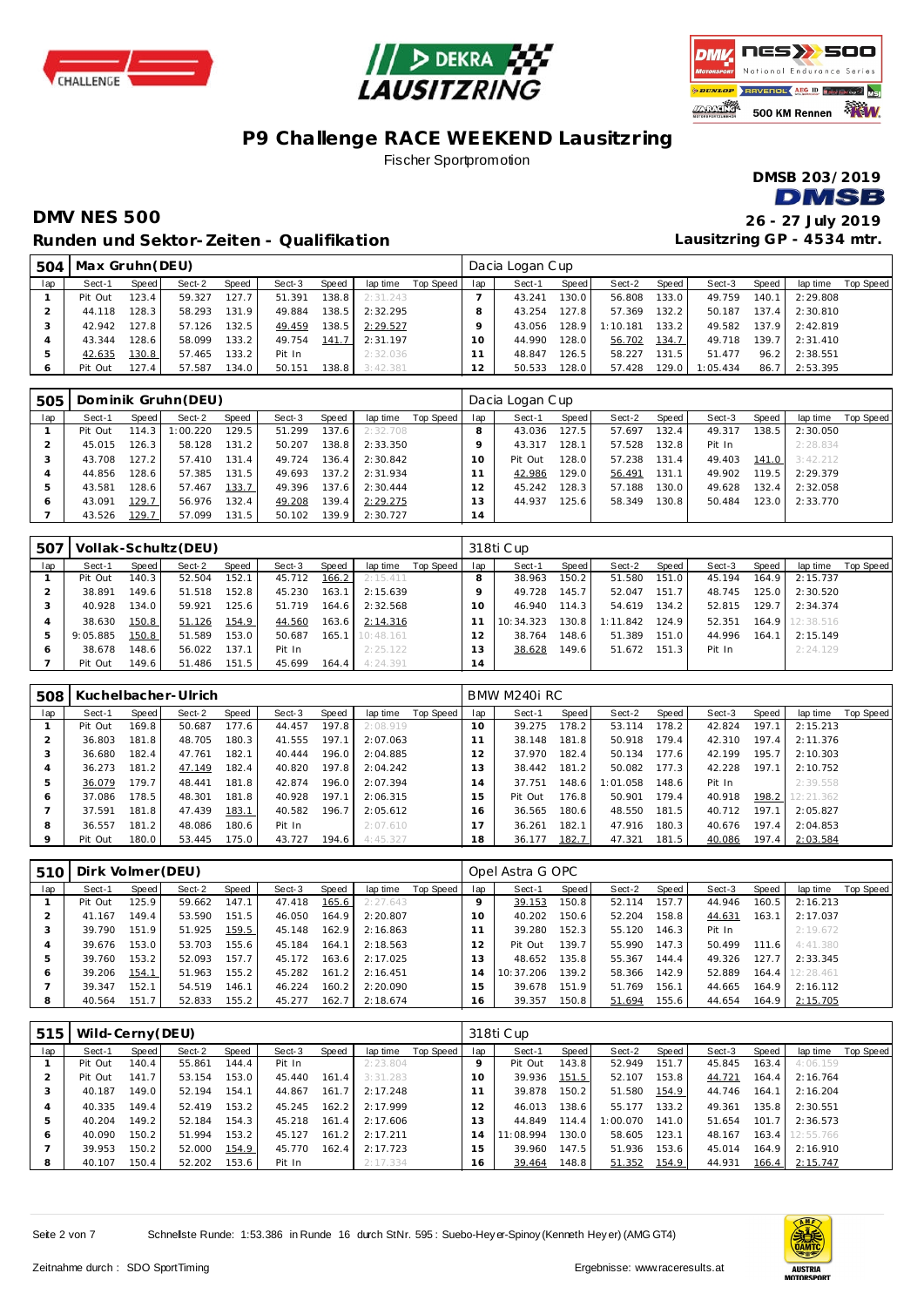





#### **P9 Challenge RACE WEEKEND Lausitzring** Fischer Sportpromotion

**DMSB 203/2019 DMSB** 

## **DMV NES 500 26 - 27 July 2019 Runden und Sektor-Zeiten - Qualifikation**

| 504      | Max Gruhn (DEU) |       |        |       |        |       |          |           |        | Dacia Logan Cup |       |          |        |          |       |          |           |
|----------|-----------------|-------|--------|-------|--------|-------|----------|-----------|--------|-----------------|-------|----------|--------|----------|-------|----------|-----------|
| lap      | Sect-1          | Speed | Sect-2 | Speed | Sect-3 | Speed | lap time | Top Speed | lap    | Sect-1          | Speed | Sect-2   | Speed  | Sect-3   | Speed | lap time | Top Speed |
|          | Pit Out         | 123.4 | 59.327 | 127.7 | 51.391 | 138.8 | 2:31.243 |           |        | 43.241          | 130.0 | 56.808   | 133.0  | 49.759   | 140.1 | 2:29.808 |           |
|          | 44.118          | 128.3 | 58.293 | 131.9 | 49.884 | 138.5 | 2:32.295 |           |        | 43.254          | 127.8 | 57.369   | 132.2  | 50.187   | 137.4 | 2:30.810 |           |
|          | 42.942          | 127.8 | 57.126 | 132.5 | 49.459 | 138.5 | 2:29.527 |           |        | 43.056          | 128.9 | 1:10.181 | 133.2  | 49.582   | 137.9 | 2:42.819 |           |
|          | 43.344          | 128.6 | 58.099 | 133.2 | 49.754 | 141.7 | 2:31.197 |           | $10-1$ | 44.990          | 128.0 | 56.702   | 134.7  | 49.718   | 139.7 | 2:31.410 |           |
|          | 42.635          | 130.8 | 57.465 | 133.2 | Pit In |       | 2:32.036 |           |        | 48.847          | 126.5 | 58.227   | 131.5  | 51.477   | 96.2  | 2:38.551 |           |
| $\sigma$ | Pit Out         | 127.4 | 57.587 | 134.0 | 50.151 | 138.8 | 3:42.381 |           | 12     | 50.533          | 128.0 | 57.428   | 129.01 | 1:05.434 | 86.7  | 2:53.395 |           |

| 505     |         |       | Dominik Gruhn(DEU) |                    |        |                    |          |           |     | Dacia Logan Cup |       |        |       |        |       |          |           |
|---------|---------|-------|--------------------|--------------------|--------|--------------------|----------|-----------|-----|-----------------|-------|--------|-------|--------|-------|----------|-----------|
| lap     | Sect-1  | Speed | Sect-2             | Speed              | Sect-3 | Speed              | lap time | Top Speed | lap | Sect-1          | Speed | Sect-2 | Speed | Sect-3 | Speed | lap time | Top Speed |
|         | Pit Out | 114.3 | : 00.220           | 129.5              | 51.299 | 137.6              | 2:32.708 |           |     | 43.036          | 127.5 | 57.697 | 132.4 | 49.317 | 138.5 | 2:30.050 |           |
|         | 45.015  | 126.3 | 58.128             | 131.2              | 50.207 | 138.8              | 2:33.350 |           |     | 43.317          | 128.1 | 57.528 | 132.8 | Pit In |       | 2:28.834 |           |
|         | 43.708  | 127.2 | 57.410             | 131.4              | 49.724 | 136.4              | 2:30.842 |           | 10  | Pit Out         | 128.0 | 57.238 | 131.4 | 49.403 | 141.0 | 3:42.212 |           |
|         | 44.856  | 128.6 | 57.385             | 131.5              | 49.693 | 137.2 <sub>1</sub> | 2:31.934 |           |     | 42.986          | 129.0 | 56.491 | 131.1 | 49.902 | 119.5 | 2:29.379 |           |
|         | 43.581  | 128.6 | 57.467             | 133.7              | 49.396 | 137.6              | 2:30.444 |           |     | 45.242          | 128.3 | 57.188 | 130.0 | 49.628 | 132.4 | 2:32.058 |           |
| $\circ$ | 43.091  | 129.7 | 56.976             | 132.4              | 49.208 | 139.4              | 2:29.275 |           | 13  | 44.937          | 125.6 | 58.349 | 130.8 | 50.484 | 123.0 | 2:33.770 |           |
|         | 43.526  | 129.7 | 57.099             | 131.5 <sub>1</sub> | 50.102 | 139.9              | 2:30.727 |           | 14  |                 |       |        |       |        |       |          |           |

| 507 |          |       | Vollak-Schultz (DEU) |       |        |         |                   |           |          | 318ti Cup |                    |          |       |        |       |                 |           |
|-----|----------|-------|----------------------|-------|--------|---------|-------------------|-----------|----------|-----------|--------------------|----------|-------|--------|-------|-----------------|-----------|
| lap | Sect-1   | Speed | Sect-2               | Speed | Sect-3 | Speed   | lap time          | Top Speed | lap      | Sect-1    | Speed              | Sect-2   | Speed | Sect-3 | Speed | lap time        | Top Speed |
|     | Pit Out  | 140.3 | 52.504               | 152.1 | 45.712 | 166.2   | 2:15.411          |           |          | 38.963    | 150.2 <sub>1</sub> | 51.580   | 151.0 | 45.194 | 164.9 | 2:15.737        |           |
|     | 38.891   | 49.6  | 51.518               | 152.8 | 45.230 | 163.1   | 2:15.639          |           |          | 49.728    | 145.7              | 52.047   | 151.7 | 48.745 | 125.0 | 2:30.520        |           |
|     | 40.928   | 134.0 | 59.921               | 125.6 | 51.719 | 164.6   | 2:32.568          |           | $\Omega$ | 46.940    | 114.3              | 54.619   | 134.2 | 52.815 | 129.7 | 2:34.374        |           |
|     | 38.630   | 150.8 | 51.126               | 154.9 | 44.560 | 163.6 l | 2:14.316          |           |          | 10:34.323 | 130.8              | 1:11.842 | 124.9 | 52.351 |       | 164.9 12:38.516 |           |
| 5   | 9:05.885 | 150.8 | 51.589               | 153.0 | 50.687 |         | $165.1$ 10:48.161 |           |          | 38.764    | 148.6              | 51.389   | 151.0 | 44.996 | 164.1 | 2:15.149        |           |
| O   | 38.678   | 48.6  | 56.022               | 137.1 | Pit In |         | 2:25.122          |           | 13       | 38.628    | 149.6              | 51.672   | 151.3 | Pit In |       | 2:24.129        |           |
|     | Pit Out  | 149.6 | 51.486               | 151.5 | 45.699 | 164.4   | 4:24.391          |           | 14       |           |                    |          |       |        |       |                 |           |

| 508     |         |       | Kuchelbacher-Ulrich |       |        |       |          |           |     | BMW M240i RC |       |          |       |        |       |           |           |
|---------|---------|-------|---------------------|-------|--------|-------|----------|-----------|-----|--------------|-------|----------|-------|--------|-------|-----------|-----------|
| lap     | Sect-1  | Speed | Sect-2              | Speed | Sect-3 | Speed | lap time | Top Speed | lap | Sect-1       | Speed | Sect-2   | Speed | Sect-3 | Speed | lap time  | Top Speed |
|         | Pit Out | 169.8 | 50.687              | 177.6 | 44.457 | 197.8 | 2:08.919 |           | 10  | 39.275       | 178.2 | 53.114   | 178.2 | 42.824 | 197.1 | 2:15.213  |           |
|         | 36.803  | 181.8 | 48.705              | 180.3 | 41.555 | 197.1 | 2:07.063 |           |     | 38.148       | 181.8 | 50.918   | 179.4 | 42.310 | 197.4 | 2:11.376  |           |
| 3       | 36.680  | 182.4 | 47.761              | 182.1 | 40.444 | 196.0 | 2:04.885 |           |     | 37.970       | 182.4 | 50.134   | 177.6 | 42.199 | 195.7 | 2:10.303  |           |
| 4       | 36.273  | 181.2 | 47.149              | 182.4 | 40.820 | 197.8 | 2:04.242 |           | 3   | 38.442       | 181.2 | 50.082   | 177.3 | 42.228 | 197.1 | 2:10.752  |           |
| 5       | 36.079  | 179.7 | 48.441              | 181.8 | 42.874 | 196.0 | 2:07.394 |           | 14  | 37.751       | 148.6 | 1:01.058 | 148.6 | Pit In |       | 2:39.558  |           |
| O       | 37.086  | 178.5 | 48.301              | 181.8 | 40.928 | 197.1 | 2:06.315 |           | 5   | Pit Out      | 176.8 | 50.901   | 179.4 | 40.918 | 198.2 | 12:21.362 |           |
|         | 37.591  | 181.8 | 47.439              | 183.1 | 40.582 | 196.7 | 2:05.612 |           | 6   | 36.565       | 180.6 | 48.550   | 181.5 | 40.712 | 197.7 | 2:05.827  |           |
| 8       | 36.557  | 181.2 | 48.086              | 180.6 | Pit In |       | 2:07.610 |           |     | 36.261       | 182.1 | 47.916   | 180.3 | 40.676 | 197.4 | 2:04.853  |           |
| $\circ$ | Pit Out | 180.0 | 53.445              | 75.0  | 43.727 | 194.6 | 4:45.327 |           | 18  | 36.177       | 182.7 | 47.321   | 181.5 | 40.086 | 197.4 | 2:03.584  |           |

| 510     | Dirk Volmer (DEU) |       |        |        |        |       |          |           |                 | Opel Astra G OPC |       |        |       |        |       |                 |           |
|---------|-------------------|-------|--------|--------|--------|-------|----------|-----------|-----------------|------------------|-------|--------|-------|--------|-------|-----------------|-----------|
| lap     | Sect-1            | Speed | Sect-2 | Speed  | Sect-3 | Speed | lap time | Top Speed | lap             | Sect-1           | Speed | Sect-2 | Speed | Sect-3 | Speed | lap time        | Top Speed |
|         | Pit Out           | 125.9 | 59.662 | 147.1  | 47.418 | 165.6 | 2:27.643 |           |                 | 39.153           | 150.8 | 52.114 | 157.7 | 44.946 | 160.5 | 2:16.213        |           |
|         | 41.167            | 149.4 | 53.590 | 151.5  | 46.050 | 164.9 | 2:20.807 |           | 10 <sup>°</sup> | 40.202           | 150.6 | 52.204 | 158.8 | 44.631 | 163.1 | 2:17.037        |           |
| 3       | 39.790            | 151.9 | 51.925 | 159.5  | 45.148 | 162.9 | 2:16.863 |           |                 | 39.280           | 152.3 | 55.120 | 146.3 | Pit In |       | 2:19.672        |           |
| 4       | 39.676            | 153.0 | 53.703 | 155.61 | 45.184 | 164.1 | 2:18.563 |           |                 | Pit Out          | 139.7 | 55.990 | 147.3 | 50.499 | 111.6 | 4:41.380        |           |
| 5       | 39.760            | 153.2 | 52.093 | 157.7  | 45.172 | 163.6 | 2:17.025 |           | 3               | 48.652           | 135.8 | 55.367 | 144.4 | 49.326 | 127.7 | 2:33.345        |           |
| $\circ$ | 39.206            | 154.1 | 51.963 | 155.2  | 45.282 | 161.2 | 2:16.451 |           |                 | 10:37.206        | 139.2 | 58.366 | 142.9 | 52.889 |       | 164.4 12:28.461 |           |
|         | 39.347            | 152.1 | 54.519 | 146.1  | 46.224 | 160.2 | 2:20.090 |           | 5               | 39.678           | 151.9 | 51.769 | 156.1 | 44.665 | 164.9 | 2:16.112        |           |
| 8       | 40.564            | 151.7 | 52.833 | 155.2  | 45.277 | 162.7 | 2:18.674 |           | 16              | 39.357           | 150.8 | 51.694 | 155.6 | 44.654 | 164.9 | 2:15.705        |           |

| 515 | Wild-Cerny (DEU) |       |        |                    |        |       |          |           |                 | 318ti Cup |       |          |       |        |       |                 |           |
|-----|------------------|-------|--------|--------------------|--------|-------|----------|-----------|-----------------|-----------|-------|----------|-------|--------|-------|-----------------|-----------|
| lap | Sect-1           | Speed | Sect-2 | Speed              | Sect-3 | Speed | lap time | Top Speed | lap             | Sect-1    | Speed | Sect-2   | Speed | Sect-3 | Speed | lap time        | Top Speed |
|     | Pit Out          | 140.4 | 55.861 | 144.4              | Pit In |       | 2:23.804 |           |                 | Pit Out   | 143.8 | 52.949   | 151.7 | 45.845 | 163.4 | 4:06.159        |           |
|     | Pit Out          | 141.7 | 53.154 | 153.0              | 45.440 | 161.4 | 3:31.283 |           | 10 <sup>°</sup> | 39.936    | 151.5 | 52.107   | 153.8 | 44.721 | 164.4 | 2:16.764        |           |
| 3   | 40.187           | 149.0 | 52.194 | 154.1              | 44.867 | 161.7 | 2:17.248 |           |                 | 39.878    | 150.2 | 51.580   | 154.9 | 44.746 | 164.1 | 2:16.204        |           |
|     | 40.335           | 149.4 | 52.419 | 153.2              | 45.245 | 162.2 | 2:17.999 |           | 12              | 46.013    | 138.6 | 55.177   | 133.2 | 49.361 | 135.8 | 2:30.551        |           |
|     | 40.204           | 149.2 | 52.184 | 154.3              | 45.218 | 161.4 | 2:17.606 |           | 13              | 44.849    | 114.4 | 1:00.070 | 141.0 | 51.654 | 101.7 | 2:36.573        |           |
| Ô   | 40.090           | 150.2 | 51.994 | 153.2              | 45.127 | 161.2 | 2:17.211 |           |                 | 11:08.994 | 130.0 | 58.605   | 123.1 | 48.167 |       | 163.4 12:55.766 |           |
|     | 39.953           | 150.2 | 52.000 | 154.9              | 45.770 | 162.4 | 2:17.723 |           | 5               | 39.960    | 147.5 | 51.936   | 153.6 | 45.014 | 164.9 | 2:16.910        |           |
| 8   | 40.107           | 150.4 | 52.202 | 153.6 <sub>1</sub> | Pit In |       | 2:17.334 |           | 16              | 39.464    | 148.8 | 51.352   | 154.9 | 44.931 | 166.4 | 2:15.747        |           |

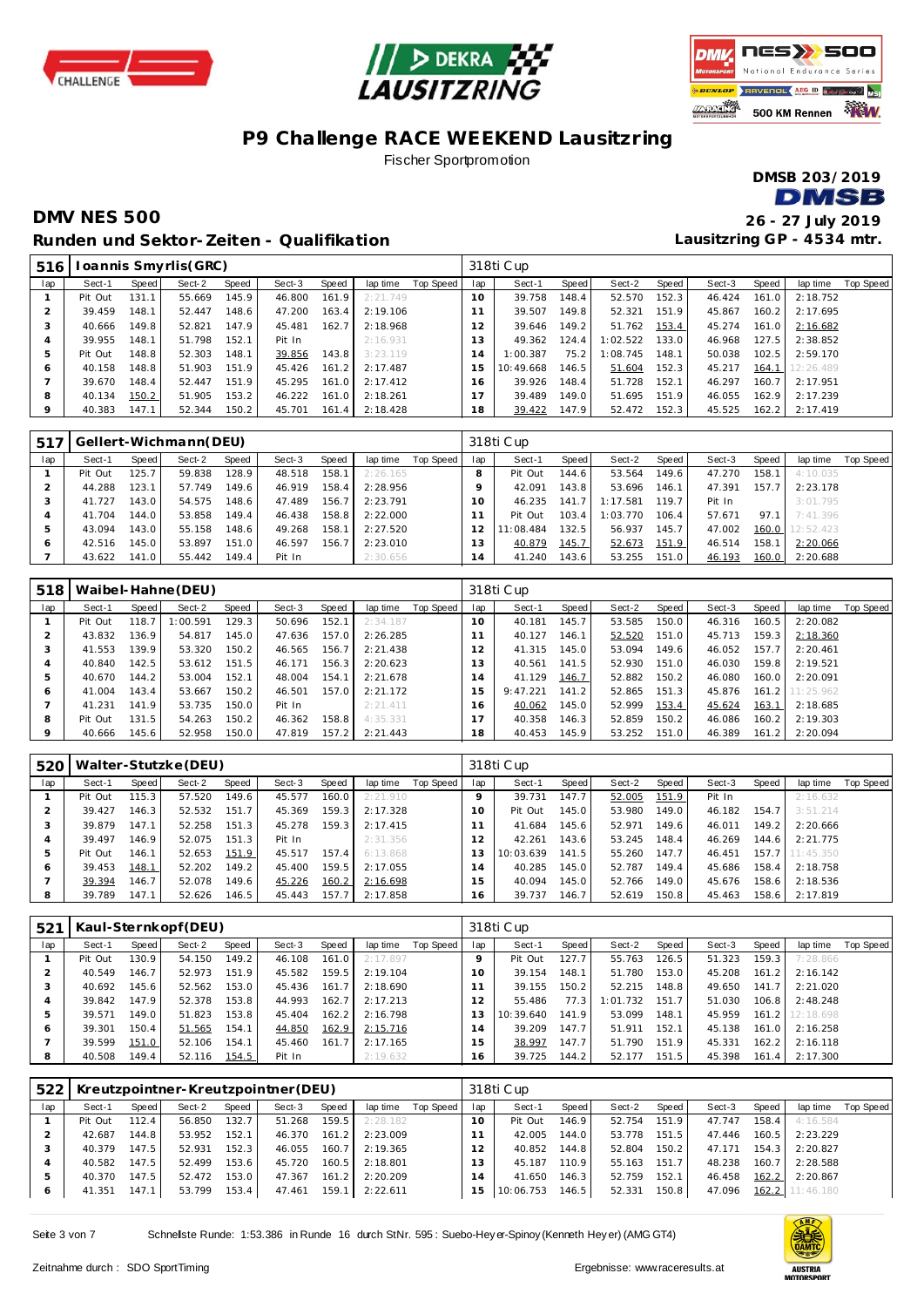





#### **P9 Challenge RACE WEEKEND Lausitzring** Fischer Sportpromotion

**DMSB 203/2019 DMSB** 

#### **DMV NES 500 26 - 27 July 2019 Runden und Sektor-Zeiten - Qualifikation**

| 516     |         |         | Ioannis Smyrlis(GRC) |       |        |       |          |           |                | 318ti Cup |       |          |       |        |       |           |           |
|---------|---------|---------|----------------------|-------|--------|-------|----------|-----------|----------------|-----------|-------|----------|-------|--------|-------|-----------|-----------|
| lap     | Sect-1  | Speed I | Sect-2               | Speed | Sect-3 | Speed | lap time | Top Speed | lap            | Sect-1    | Speed | Sect-2   | Speed | Sect-3 | Speed | lap time  | Top Speed |
|         | Pit Out | 131.1   | 55.669               | 145.9 | 46.800 | 161.9 | 2:21.749 |           | 10             | 39.758    | 148.4 | 52.570   | 152.3 | 46.424 | 161.0 | 2:18.752  |           |
|         | 39.459  | 148.1   | 52.447               | 148.6 | 47.200 | 163.4 | 2:19.106 |           |                | 39.507    | 149.8 | 52.321   | 151.9 | 45.867 | 160.2 | 2:17.695  |           |
| 3       | 40.666  | 149.8   | 52.821               | 147.9 | 45.481 | 162.7 | 2:18.968 |           | 12             | 39.646    | 149.2 | 51.762   | 153.4 | 45.274 | 161.0 | 2:16.682  |           |
| 4       | 39.955  | 148.1   | 51.798               | 152.1 | Pit In |       | 2:16.931 |           | 13             | 49.362    | 124.4 | 1:02.522 | 133.0 | 46.968 | 127.5 | 2:38.852  |           |
| 5       | Pit Out | 148.8   | 52.303               | 148.1 | 39.856 | 143.8 | 3:23.119 |           | $\overline{4}$ | 1:00.387  | 75.2  | 1:08.745 | 148.1 | 50.038 | 102.5 | 2:59.170  |           |
| O       | 40.158  | 148.8   | 51.903               | 151.9 | 45.426 | 161.2 | 2:17.487 |           | -5             | 10:49.668 | 146.5 | 51.604   | 152.3 | 45.217 | 164.1 | 12:26.489 |           |
|         | 39.670  | 148.4   | 52.447               | 151.9 | 45.295 | 161.0 | 2:17.412 |           | 6              | 39.926    | 148.4 | 51.728   | 152.1 | 46.297 | 160.7 | 2:17.951  |           |
| 8       | 40.134  | 150.2   | 51.905               | 153.2 | 46.222 | 161.0 | 2:18.261 |           | 17             | 39.489    | 149.0 | 51.695   | 151.9 | 46.055 | 162.9 | 2:17.239  |           |
| $\circ$ | 40.383  | 147.1   | 52.344               | 150.2 | 45.701 | 161.4 | 2:18.428 |           | 18             | 39.422    | 147.9 | 52.472   | 152.3 | 45.525 | 162.2 | 2:17.419  |           |

| 517 |         |       | Gellert-Wichmann(DEU) |       |        |       |          |           |     | 318ti Cup |       |          |       |        |       |                     |           |
|-----|---------|-------|-----------------------|-------|--------|-------|----------|-----------|-----|-----------|-------|----------|-------|--------|-------|---------------------|-----------|
| lap | Sect-1  | Speed | Sect-2                | Speed | Sect-3 | Speed | lap time | Top Speed | lap | Sect-1    | Speed | Sect-2   | Speed | Sect-3 | Speed | lap time            | Top Speed |
|     | Pit Out | 125.7 | 59.838                | 128.9 | 48.518 | 158.1 | 2:26.165 |           | 8   | Pit Out   | 144.6 | 53.564   | 149.6 | 47.270 | 158.1 | 4:10.035            |           |
|     | 44.288  | 123.1 | 57.749                | 149.6 | 46.919 | 158.4 | 2:28.956 |           |     | 42.091    | 143.8 | 53.696   | 146.1 | 47.391 | 157.7 | 2:23.178            |           |
|     | 41.727  | 143.0 | 54.575                | 148.6 | 47.489 | 156.7 | 2:23.791 |           | 10  | 46.235    | 141   | 1:17.581 | 119.7 | Pit In |       | 3:01.795            |           |
|     | 41.704  | 144.0 | 53.858                | 149.4 | 46.438 | 158.8 | 2:22.000 |           |     | Pit Out   | 103.4 | 1:03.770 | 106.4 | 57.671 | 97.1  | 7:41.396            |           |
|     | 43.094  | 143.0 | 55.158                | 148.6 | 49.268 | 158.1 | 2:27.520 |           |     | 11:08.484 | 132.5 | 56.937   | 145.7 | 47.002 |       | $160.0$   12:52.423 |           |
| 6   | 42.516  | 145.0 | 53.897                | 151.0 | 46.597 | 156.7 | 2:23.010 |           | 13  | 40.879    | 145.7 | 52.673   | 151.9 | 46.514 | 158.1 | 2:20.066            |           |
|     | 43.622  | 141.0 | 55.442                | 149.4 | Pit In |       | 2:30.656 |           | 14  | 41.240    | 143.6 | 53.255   | 151.0 | 46.193 | 160.0 | 2:20.688            |           |

| 518 |         |       | Waibel-Hahne (DEU) |       |        |       |          |           |          | 318ti Cup |       |        |       |        |       |                 |           |
|-----|---------|-------|--------------------|-------|--------|-------|----------|-----------|----------|-----------|-------|--------|-------|--------|-------|-----------------|-----------|
| lap | Sect-1  | Speed | Sect-2             | Speed | Sect-3 | Speed | lap time | Top Speed | lap      | Sect-1    | Speed | Sect-2 | Speed | Sect-3 | Speed | lap time        | Top Speed |
|     | Pit Out | 118.7 | 1:00.591           | 129.3 | 50.696 | 152.1 | 2:34.187 |           | $10^{-}$ | 40.181    | 145.7 | 53.585 | 150.0 | 46.316 | 160.5 | 2:20.082        |           |
|     | 43.832  | 136.9 | 54.817             | 145.0 | 47.636 | 157.0 | 2:26.285 |           |          | 40.127    | 146.1 | 52.520 | 151.0 | 45.713 | 159.3 | 2:18.360        |           |
| 3   | 41.553  | 139.9 | 53.320             | 150.2 | 46.565 | 156.7 | 2:21.438 |           | 2        | 41.315    | 145.0 | 53.094 | 149.6 | 46.052 | 157.7 | 2:20.461        |           |
| 4   | 40.840  | 142.5 | 53.612             | 151.5 | 46.171 | 156.3 | 2:20.623 |           | 3        | 40.561    | 141.5 | 52.930 | 151.0 | 46.030 | 159.8 | 2:19.521        |           |
| 5   | 40.670  | 144.2 | 53.004             | 152.1 | 48.004 | 154.1 | 2:21.678 |           | (4)      | 41.129    | 146.7 | 52.882 | 150.2 | 46.080 | 160.0 | 2:20.091        |           |
| 6   | 41.004  | 143.4 | 53.667             | 150.2 | 46.501 | 157.0 | 2:21.172 |           | 15       | 9:47.221  | 141.2 | 52.865 | 151.3 | 45.876 |       | 161.2 11:25.962 |           |
|     | 41.231  | 141.9 | 53.735             | 150.0 | Pit In |       | 2:21.411 |           | 16       | 40.062    | 145.0 | 52.999 | 153.4 | 45.624 | 163.1 | 2:18.685        |           |
| 8   | Pit Out | 131.5 | 54.263             | 150.2 | 46.362 | 158.8 | 4:35.331 |           |          | 40.358    | 146.3 | 52.859 | 150.2 | 46.086 | 160.2 | 2:19.303        |           |
| 9   | 40.666  | 145.6 | 52.958             | 150.0 | 47.819 | 157.2 | 2:21.443 |           | 18       | 40.453    | 145.9 | 53.252 | 151.0 | 46.389 | 161.2 | 2:20.094        |           |

| 520 |         |       | Walter-Stutzke (DEU) |       |        |       |          |           |     | 318ti Cup |       |        |       |        |       |                 |           |
|-----|---------|-------|----------------------|-------|--------|-------|----------|-----------|-----|-----------|-------|--------|-------|--------|-------|-----------------|-----------|
| lap | Sect-1  | Speed | Sect-2               | Speed | Sect-3 | Speed | lap time | Top Speed | lap | Sect-1    | Speed | Sect-2 | Speed | Sect-3 | Speed | lap time        | Top Speed |
|     | Pit Out | 115.3 | 57.520               | 149.6 | 45.577 | 160.0 | 2:21.910 |           |     | 39.731    | 147.7 | 52.005 | 151.9 | Pit In |       | 2:16.632        |           |
|     | 39.427  | 146.3 | 52.532               | 151.7 | 45.369 | 159.3 | 2:17.328 |           | 10  | Pit Out   | 145.0 | 53.980 | 149.0 | 46.182 | 154.7 | 3:51.214        |           |
|     | 39.879  | 147.1 | 52.258               | 151.3 | 45.278 | 159.3 | 2:17.415 |           |     | 41.684    | 145.6 | 52.971 | 149.6 | 46.011 | 149.2 | 2:20.666        |           |
|     | 39.497  | 146.9 | 52.075               | 151.3 | Pit In |       | 2:31.356 |           |     | 42.261    | 143.6 | 53.245 | 148.4 | 46.269 | 144.6 | 2:21.775        |           |
|     | Pit Out | 146.1 | 52.653               | 151.9 | 45.517 | 157.4 | 6:13.868 |           |     | 10:03.639 | 141.5 | 55.260 | 147.7 | 46.451 |       | 157.7 11:45.350 |           |
| O   | 39.453  | 148.1 | 52.202               | 149.2 | 45.400 | 159.5 | 2:17.055 |           | 14  | 40.285    | 145.0 | 52.787 | 149.4 | 45.686 | 158.4 | 2:18.758        |           |
|     | 39.394  | 146.7 | 52.078               | 149.6 | 45.226 | 160.2 | 2:16.698 |           | 15  | 40.094    | 145.0 | 52.766 | 149.0 | 45.676 | 158.6 | 2:18.536        |           |
| 8   | 39.789  | 147.1 | 52.626               | 146.5 | 45.443 | 157.7 | 2:17.858 |           | 16  | 39.737    | 146.7 | 52.619 | 150.8 | 45.463 | 158.6 | 2:17.819        |           |

| 521 |         |                    | Kaul-Sternkopf(DEU) |       |        |       |          |           |         | 318ti Cup |       |          |       |        |       |                 |           |
|-----|---------|--------------------|---------------------|-------|--------|-------|----------|-----------|---------|-----------|-------|----------|-------|--------|-------|-----------------|-----------|
| lap | Sect-1  | Speed              | Sect-2              | Speed | Sect-3 | Speed | lap time | Top Speed | lap     | Sect-1    | Speed | Sect-2   | Speed | Sect-3 | Speed | lap time        | Top Speed |
|     | Pit Out | 130.9              | 54.150              | 149.2 | 46.108 | 161.0 | 2:17.897 |           | $\circ$ | Pit Out   | 127.7 | 55.763   | 126.5 | 51.323 | 159.3 | 7:28.866        |           |
|     | 40.549  | 146.7 <sub>1</sub> | 52.973              | 151.9 | 45.582 | 159.5 | 2:19.104 |           | 10      | 39.154    | 148.1 | 51.780   | 153.0 | 45.208 | 161.2 | 2:16.142        |           |
| 3   | 40.692  | 145.6              | 52.562              | 153.0 | 45.436 | 161.7 | 2:18.690 |           |         | 39.155    | 150.2 | 52.215   | 148.8 | 49.650 | 141.7 | 2:21.020        |           |
|     | 39.842  | 147.9              | 52.378              | 153.8 | 44.993 | 162.7 | 2:17.213 |           | 2       | 55.486    | 77.3  | 1:01.732 | 151.7 | 51.030 | 106.8 | 2:48.248        |           |
| 5   | 39.571  | 149.0              | 51.823              | 153.8 | 45.404 | 162.2 | 2:16.798 |           |         | 10:39.640 | 141.9 | 53.099   | 148.1 | 45.959 |       | 161.2 12:18.698 |           |
| O   | 39.301  | 150.4              | 51.565              | 154.1 | 44.850 | 162.9 | 2:15.716 |           | 14      | 39.209    | 147.7 | 51.911   | 152.1 | 45.138 | 161.0 | 2:16.258        |           |
|     | 39.599  | 151.0              | 52.106              | 154.1 | 45.460 | 161.7 | 2:17.165 |           | 15      | 38.997    | 147.7 | 51.790   | 151.9 | 45.331 | 162.2 | 2:16.118        |           |
| 8   | 40.508  | 149.4              | 52.116              | 154.5 | Pit In |       | 2:19.632 |           | 16      | 39.725    | 144.2 | 52.177   | 151.5 | 45.398 | 161.4 | 2:17.300        |           |

| 522     |         |                    |        |       | Kreutzpointner-Kreutzpointner (DEU) |       |          |           |     | 318ti Cup |       |        |       |        |       |                 |           |
|---------|---------|--------------------|--------|-------|-------------------------------------|-------|----------|-----------|-----|-----------|-------|--------|-------|--------|-------|-----------------|-----------|
| lap     | Sect-1  | Speed              | Sect-2 | Speed | Sect-3                              | Speed | lap time | Top Speed | lap | Sect-1    | Speed | Sect-2 | Speed | Sect-3 | Speed | lap time        | Top Speed |
|         | Pit Out | 112.4              | 56.850 | 132.7 | 51.268                              | 159.5 | 2:28.182 |           | 10  | Pit Out   | 146.9 | 52.754 | 151.9 | 47.747 | 158.4 | 4:16.584        |           |
|         | 42.687  | 144.8              | 53.952 | 152.1 | 46.370                              | 161.2 | 2:23.009 |           |     | 42.005    | 144.0 | 53.778 | 151.5 | 47.446 | 160.5 | 2:23.229        |           |
|         | 40.379  | 147.5              | 52.931 | 152.3 | 46.055                              | 160.7 | 2:19.365 |           | 12  | 40.852    | 144.8 | 52.804 | 150.2 | 47.171 | 154.3 | 2:20.827        |           |
|         | 40.582  | 147.5              | 52.499 | 153.6 | 45.720                              | 160.5 | 2:18.801 |           | 13  | 45.187    | 110.9 | 55.163 | 151.7 | 48.238 | 160.7 | 2:28.588        |           |
| 5       | 40.370  | 147.5              | 52.472 | 153.0 | 47.367                              | 161.2 | 2:20.209 |           | 14  | 41.650    | 146.3 | 52.759 | 152.1 | 46.458 | 162.2 | 2:20.867        |           |
| $\circ$ | 41.351  | 147.1 <sub>1</sub> | 53.799 | 153.4 | 47.461                              | 159.1 | 2:22.611 |           | 15  | 10:06.753 | 146.5 | 52.331 | 150.8 | 47.096 |       | 162.2 11:46.180 |           |

Seite 3 von 7 Schnellste Runde: 1:53.386 in Runde 16 durch StNr. 595 : Suebo-Hey er-Spinoy (Kenneth Hey er) (AMG GT4)

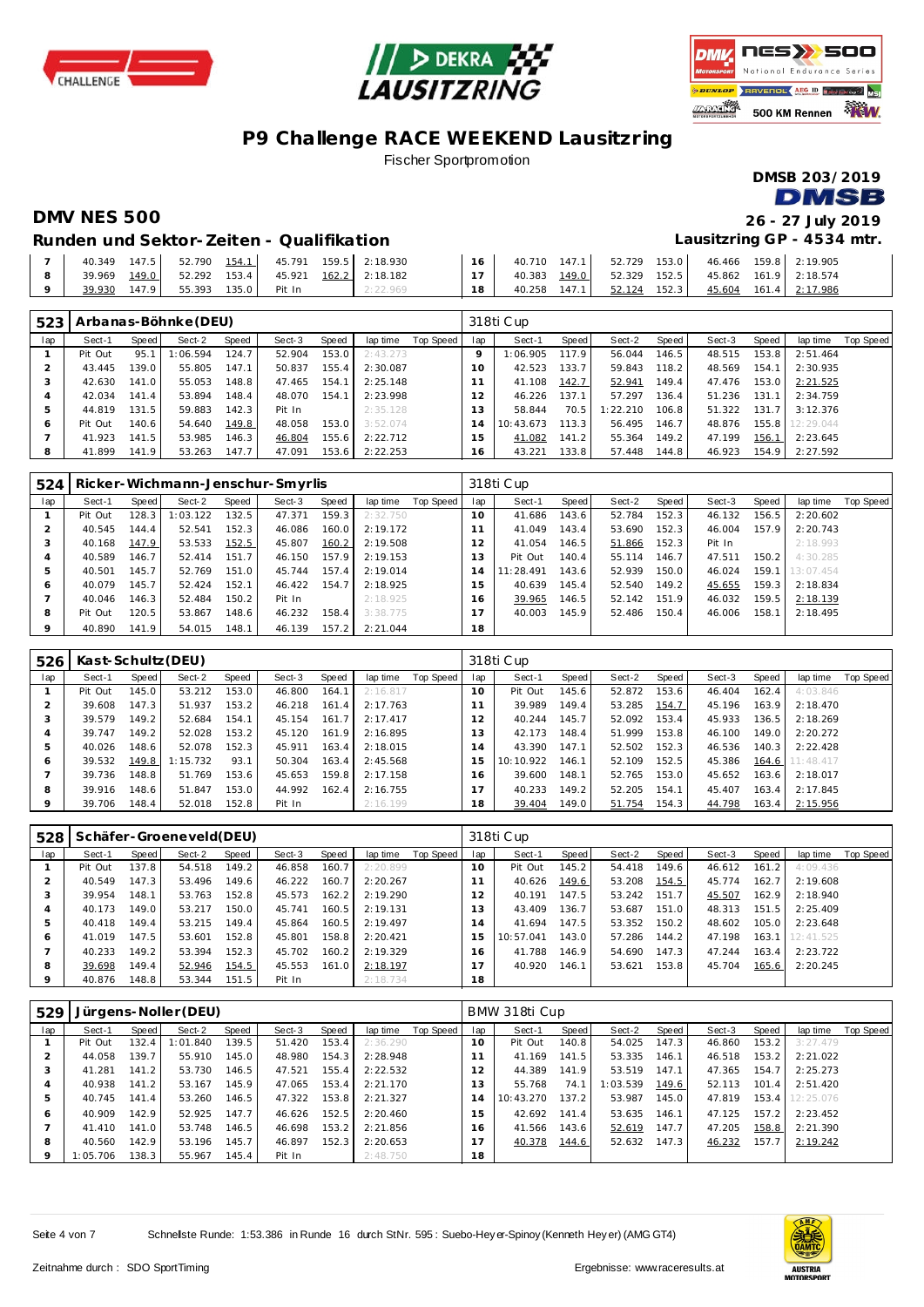





## **P9 Challenge RACE WEEKEND Lausitzring**

Fischer Sportpromotion

**DMSB 203/2019 DMSB** 

**DMV NES 500 26 - 27 July 2019 Lausitzring GP - 4534 mtr.**

**Runden und Sektor-Zeiten - Qualifikation**

| 147.5<br>40.349 | 154.1<br>52.790 | 159.5 2:18.930<br>45.791 | 40.710 147.1    | 153.0<br>52.729 | 46.466 159.8 2:19.905 |        |
|-----------------|-----------------|--------------------------|-----------------|-----------------|-----------------------|--------|
| 149.0<br>39.969 | 153.4<br>52.292 | 162.2 2:18.182<br>45.921 | 149.0<br>40.383 | 152.5<br>52.329 | 45.862 161.9 2:18.574 |        |
| 147.9<br>39.930 | 135.0<br>55.393 | Pit In<br>2:22.969       | 147.1<br>40.258 | 152.3<br>52.124 | 161.4<br>45.604       | 17.986 |

| 523 |         |       | Arbanas-Böhnke (DEU) |       |        |       |          |           |                | 318ti Cup |       |          |       |        |       |           |           |
|-----|---------|-------|----------------------|-------|--------|-------|----------|-----------|----------------|-----------|-------|----------|-------|--------|-------|-----------|-----------|
| lap | Sect-1  | Speed | Sect-2               | Speed | Sect-3 | Speed | lap time | Top Speed | lap            | Sect-1    | Speed | Sect-2   | Speed | Sect-3 | Speed | lap time  | Top Speed |
|     | Pit Out | 95.1  | 1:06.594             | 124.7 | 52.904 | 153.0 | 2:43.273 |           |                | 1:06.905  | 17.9  | 56.044   | 146.5 | 48.515 | 153.8 | 2:51.464  |           |
|     | 43.445  | 139.0 | 55.805               | 147.1 | 50.837 | 155.4 | 2:30.087 |           | $10^{-}$       | 42.523    | 133.7 | 59.843   | 118.2 | 48.569 | 154.1 | 2:30.935  |           |
|     | 42.630  | 141.0 | 55.053               | 148.8 | 47.465 | 154.1 | 2:25.148 |           |                | 41.108    | 142.7 | 52.941   | 149.4 | 47.476 | 153.0 | 2:21.525  |           |
|     | 42.034  | 141.4 | 53.894               | 148.4 | 48.070 | 154.1 | 2:23.998 |           | $\overline{2}$ | 46.226    | 137.1 | 57.297   | 136.4 | 51.236 | 131.1 | 2:34.759  |           |
| ь   | 44.819  | 131.5 | 59.883               | 142.3 | Pit In |       | 2:35.128 |           | 3              | 58.844    | 70.5  | 1:22.210 | 106.8 | 51.322 | 131.7 | 3:12.376  |           |
| 6   | Pit Out | 140.6 | 54.640               | 149.8 | 48.058 | 153.0 | 3:52.074 |           | 14             | 10:43.673 | 113.3 | 56.495   | 146.7 | 48.876 | 155.8 | 12:29.044 |           |
|     | 41.923  | 141.5 | 53.985               | 146.3 | 46.804 | 155.6 | 2:22.712 |           | 5              | 41.082    | 141.2 | 55.364   | 149.2 | 47.199 | 156.1 | 2:23.645  |           |
| 8   | 41.899  | 141.9 | 53.263               | 147.7 | 47.091 | 153.6 | 2:22.253 |           | 16             | 43.221    | 133.8 | 57.448   | 144.8 | 46.923 | 154.9 | 2:27.592  |           |

| 524     |         |       | Ricker-Wichmann-Jenschur-Smyrlis |       |        |       |          |           |                | 318ti Cup |       |        |       |        |       |           |                  |
|---------|---------|-------|----------------------------------|-------|--------|-------|----------|-----------|----------------|-----------|-------|--------|-------|--------|-------|-----------|------------------|
| lap     | Sect-1  | Speed | Sect-2                           | Speed | Sect-3 | Speed | lap time | Top Speed | lap            | Sect-1    | Speed | Sect-2 | Speed | Sect-3 | Speed | lap time  | <b>Top Speed</b> |
|         | Pit Out | 128.3 | 1:03.122                         | 132.5 | 47.371 | 159.3 | 2:32.750 |           | $10^{-}$       | 41.686    | 143.6 | 52.784 | 152.3 | 46.132 | 156.5 | 2:20.602  |                  |
|         | 40.545  | 144.4 | 52.541                           | 152.3 | 46.086 | 160.0 | 2:19.172 |           |                | 41.049    | 143.4 | 53.690 | 152.3 | 46.004 | 157.9 | 2:20.743  |                  |
|         | 40.168  | 147.9 | 53.533                           | 152.5 | 45.807 | 160.2 | 2:19.508 |           | 2              | 41.054    | 146.5 | 51.866 | 152.3 | Pit In |       | 2:18.993  |                  |
|         | 40.589  | 146.7 | 52.414                           | 151.7 | 46.150 | 157.9 | 2:19.153 |           | 3              | Pit Out   | 140.4 | 55.114 | 146.7 | 47.511 | 150.2 | 4:30.285  |                  |
| 5       | 40.501  | 145.7 | 52.769                           | 151.0 | 45.744 | 157.4 | 2:19.014 |           | $\overline{4}$ | 11:28.491 | 143.6 | 52.939 | 150.0 | 46.024 | 159.1 | 13:07.454 |                  |
| 6       | 40.079  | 145.7 | 52.424                           | 152.1 | 46.422 | 154.7 | 2:18.925 |           | 15             | 40.639    | 145.4 | 52.540 | 149.2 | 45.655 | 159.3 | 2:18.834  |                  |
|         | 40.046  | 146.3 | 52.484                           | 150.2 | Pit In |       | 2:18.925 |           | 16             | 39.965    | 146.5 | 52.142 | 151.9 | 46.032 | 159.5 | 2:18.139  |                  |
| 8       | Pit Out | 120.5 | 53.867                           | 148.6 | 46.232 | 158.4 | 3:38.775 |           |                | 40.003    | 145.9 | 52.486 | 150.4 | 46.006 | 158.1 | 2:18.495  |                  |
| $\circ$ | 40.890  | 141.9 | 54.015                           | 148.1 | 46.139 | 157.2 | 2:21.044 |           | 18             |           |       |        |       |        |       |           |                  |

| 526 | Kast-Schultz (DEU) |       |          |       |        |       |          |           |                 | 318ti Cup |        |        |       |        |       |           |           |
|-----|--------------------|-------|----------|-------|--------|-------|----------|-----------|-----------------|-----------|--------|--------|-------|--------|-------|-----------|-----------|
| lap | Sect-1             | Speed | Sect-2   | Speed | Sect-3 | Speed | lap time | Top Speed | lap             | Sect-1    | Speed  | Sect-2 | Speed | Sect-3 | Speed | lap time  | Top Speed |
|     | Pit Out            | 145.0 | 53.212   | 153.0 | 46.800 | 164.1 | 2:16.817 |           | 10 <sup>1</sup> | Pit Out   | 145.6  | 52.872 | 153.6 | 46.404 | 162.4 | 4:03.846  |           |
|     | 39.608             | 147.3 | 51.937   | 153.2 | 46.218 | 161.4 | 2:17.763 |           |                 | 39.989    | 149.4  | 53.285 | 154.7 | 45.196 | 163.9 | 2:18.470  |           |
| 3   | 39.579             | 149.2 | 52.684   | 154.1 | 45.154 | 161.7 | 2:17.417 |           | 12              | 40.244    | 145.71 | 52.092 | 153.4 | 45.933 | 136.5 | 2:18.269  |           |
| 4   | 39.747             | 49.2  | 52.028   | 153.2 | 45.120 | 161.9 | 2:16.895 |           | 13              | 42.173    | 148.4  | 51.999 | 153.8 | 46.100 | 149.0 | 2:20.272  |           |
| 5   | 40.026             | 148.6 | 52.078   | 152.3 | 45.911 | 163.4 | 2:18.015 |           | 4               | 43.390    | 147.1  | 52.502 | 152.3 | 46.536 | 140.3 | 2:22.428  |           |
| 6   | 39.532             | 149.8 | 1:15.732 | 93.1  | 50.304 | 163.4 | 2:45.568 |           | i 5.            | 10:10.922 | 146.1  | 52.109 | 152.5 | 45.386 | 164.6 | 11:48.417 |           |
|     | 39.736             | 148.8 | 51.769   | 153.6 | 45.653 | 159.8 | 2:17.158 |           | 6               | 39.600    | 148.1  | 52.765 | 153.0 | 45.652 | 163.6 | 2:18.017  |           |
| 8   | 39.916             | 148.6 | 51.847   | 153.0 | 44.992 | 162.4 | 2:16.755 |           |                 | 40.233    | 149.2  | 52.205 | 154.1 | 45.407 | 163.4 | 2:17.845  |           |
| 9   | 39.706             | 148.4 | 52.018   | 152.8 | Pit In |       | 2:16.199 |           | 18              | 39.404    | 149.0  | 51.754 | 154.3 | 44.798 | 163.4 | 2:15.956  |           |

| 528 |         |       | Schäfer-Groeneveld(DEU) |       |        |       |          |           |                | 318ti Cup |       |        |       |        |       |           |           |
|-----|---------|-------|-------------------------|-------|--------|-------|----------|-----------|----------------|-----------|-------|--------|-------|--------|-------|-----------|-----------|
| lap | Sect-1  | Speed | Sect-2                  | Speed | Sect-3 | Speed | lap time | Top Speed | lap            | Sect-1    | Speed | Sect-2 | Speed | Sect-3 | Speed | lap time  | Top Speed |
|     | Pit Out | 137.8 | 54.518                  | 149.2 | 46.858 | 160.7 | 2:20.899 |           | 10             | Pit Out   | 145.2 | 54.418 | 149.6 | 46.612 | 161.2 | 4:09.436  |           |
|     | 40.549  | 147.3 | 53.496                  | 149.6 | 46.222 | 160.7 | 2:20.267 |           |                | 40.626    | 149.6 | 53.208 | 154.5 | 45.774 | 162.7 | 2:19.608  |           |
|     | 39.954  | 148.1 | 53.763                  | 152.8 | 45.573 | 162.2 | 2:19.290 |           | $\overline{2}$ | 40.191    | 147.5 | 53.242 | 151.7 | 45.507 | 162.9 | 2:18.940  |           |
|     | 40.173  | 149.0 | 53.217                  | 150.0 | 45.741 | 160.5 | 2:19.131 |           | 3              | 43.409    | 136.7 | 53.687 | 151.0 | 48.313 | 151.5 | 2:25.409  |           |
| ь   | 40.418  | 149.4 | 53.215                  | 149.4 | 45.864 | 160.5 | 2:19.497 |           | $\overline{4}$ | 41.694    | 147.5 | 53.352 | 150.2 | 48.602 | 105.0 | 2:23.648  |           |
| 6   | 41.019  | 147.5 | 53.601                  | 152.8 | 45.801 | 158.8 | 2:20.421 |           | 5              | 10:57.041 | 143.0 | 57.286 | 144.2 | 47.198 | 163.1 | 12:41.525 |           |
|     | 40.233  | 149.2 | 53.394                  | 152.3 | 45.702 | 160.2 | 2:19.329 |           | -6             | 41.788    | 146.9 | 54.690 | 147.3 | 47.244 | 163.4 | 2:23.722  |           |
| 8   | 39.698  | 149.4 | 52.946                  | 154.5 | 45.553 | 161.0 | 2:18.197 |           |                | 40.920    | 146.1 | 53.621 | 153.8 | 45.704 | 165.6 | 2:20.245  |           |
| 9   | 40.876  | 148.8 | 53.344                  | 151.5 | Pit In |       | 2:18.734 |           | 18             |           |       |        |       |        |       |           |           |

| 529     |          |       | Jürgens-Noller (DEU) |       |        |       |          |           |     | BMW 318ti Cup |       |          |       |        |       |           |           |
|---------|----------|-------|----------------------|-------|--------|-------|----------|-----------|-----|---------------|-------|----------|-------|--------|-------|-----------|-----------|
| lap     | Sect-1   | Speed | Sect-2               | Speed | Sect-3 | Speed | lap time | Top Speed | lap | Sect-1        | Speed | Sect-2   | Speed | Sect-3 | Speed | lap time  | Top Speed |
|         | Pit Out  | 132.4 | 1:01.840             | 139.5 | 51.420 | 153.4 | 2:36.290 |           | 10  | Pit Out       | 140.8 | 54.025   | 147.3 | 46.860 | 153.2 | 3:27.479  |           |
|         | 44.058   | 139.7 | 55.910               | 145.0 | 48.980 | 154.3 | 2:28.948 |           |     | 41.169        | 141.5 | 53.335   | 146.1 | 46.518 | 153.2 | 2:21.022  |           |
| 3       | 41.281   | 141.2 | 53.730               | 146.5 | 47.521 | 155.4 | 2:22.532 |           | 12  | 44.389        | 141.9 | 53.519   | 147.1 | 47.365 | 154.7 | 2:25.273  |           |
| 4       | 40.938   | 141.2 | 53.167               | 145.9 | 47.065 | 153.4 | 2:21.170 |           | 3   | 55.768        | 74.1  | 1:03.539 | 149.6 | 52.113 | 101.4 | 2:51.420  |           |
| 5       | 40.745   | 141.4 | 53.260               | 146.5 | 47.322 | 153.8 | 2:21.327 |           | . 4 | 10:43.270     | 137.2 | 53.987   | 145.0 | 47.819 | 153.4 | 12:25.076 |           |
| 6       | 40.909   | 142.9 | 52.925               | 147.7 | 46.626 | 152.5 | 2:20.460 |           | 15  | 42.692        | 141.4 | 53.635   | 146.1 | 47.125 | 157.2 | 2:23.452  |           |
|         | 41.410   | 141.0 | 53.748               | 146.5 | 46.698 | 153.2 | 2:21.856 |           | 16. | 41.566        | 143.6 | 52.619   | 147.7 | 47.205 | 158.8 | 2:21.390  |           |
| 8       | 40.560   | 142.9 | 53.196               | 145.7 | 46.897 | 152.3 | 2:20.653 |           |     | 40.378        | 144.6 | 52.632   | 147.3 | 46.232 | 157.7 | 2:19.242  |           |
| $\circ$ | 1:05.706 | 138.3 | 55.967               | 145.4 | Pit In |       | 2:48.750 |           | 18  |               |       |          |       |        |       |           |           |

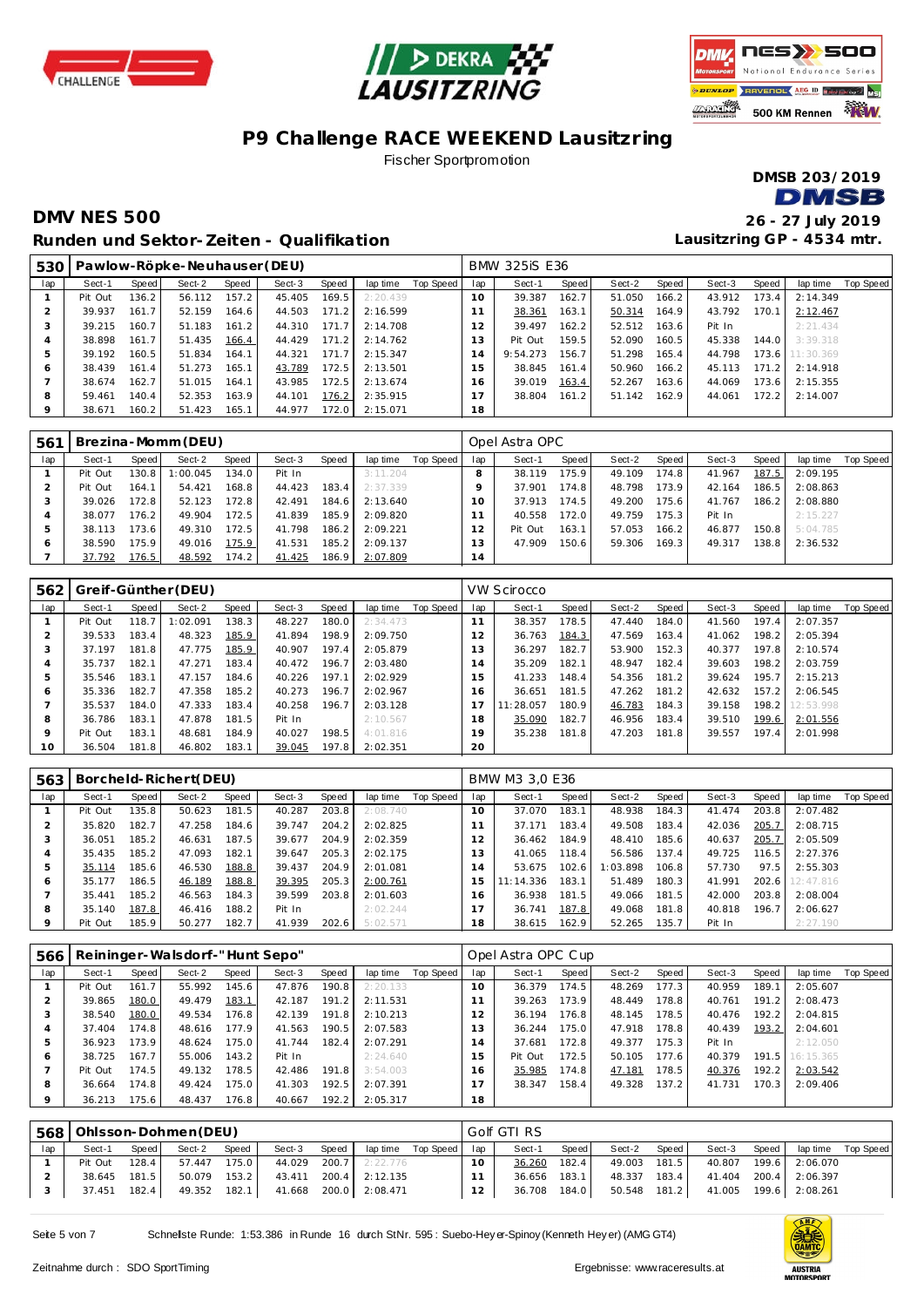





### **P9 Challenge RACE WEEKEND Lausitzring** Fischer Sportpromotion

**DMSB 203/2019 DMSB** 

#### **DMV NES 500 26 - 27 July 2019 Runden und Sektor-Zeiten - Qualifikation**

| 530          |         |                    | Pawlow-Röpke-Neuhauser (DEU) |       |        |       |          |           |     | <b>BMW 325iS E36</b> |       |        |       |        |       |           |           |
|--------------|---------|--------------------|------------------------------|-------|--------|-------|----------|-----------|-----|----------------------|-------|--------|-------|--------|-------|-----------|-----------|
| lap          | Sect-1  | Speed              | Sect-2                       | Speed | Sect-3 | Speed | lap time | Top Speed | lap | Sect-1               | Speed | Sect-2 | Speed | Sect-3 | Speed | lap time  | Top Speed |
|              | Pit Out | 136.2              | 56.112                       | 157.2 | 45.405 | 169.5 | 2:20.439 |           | 10  | 39.387               | 162.7 | 51.050 | 166.2 | 43.912 | 173.4 | 2:14.349  |           |
|              | 39.937  | 161.7 <sub>1</sub> | 52.159                       | 164.6 | 44.503 | 171.2 | 2:16.599 |           |     | 38.361               | 163.1 | 50.314 | 164.9 | 43.792 | 170.1 | 2:12.467  |           |
|              | 39.215  | 160.7 <sub>1</sub> | 51.183                       | 161.2 | 44.310 | 171.7 | 2:14.708 |           | 12  | 39.497               | 162.2 | 52.512 | 163.6 | Pit In |       | 2:21.434  |           |
| 4            | 38.898  | 161.7 <sub>1</sub> | 51.435                       | 166.4 | 44.429 | 171.2 | 2:14.762 |           | 13  | Pit Out              | 159.5 | 52.090 | 160.5 | 45.338 | 144.0 | 3:39.318  |           |
| 5            | 39.192  | 160.5              | 51.834                       | 164.1 | 44.321 | 171.7 | 2:15.347 |           | h   | 9:54.273             | 156.7 | 51.298 | 165.4 | 44.798 | 173.6 | 11:30.369 |           |
| <sup>6</sup> | 38.439  | 161.4              | 51.273                       | 165.1 | 43.789 | 172.5 | 2:13.501 |           | 15  | 38.845               | 161.4 | 50.960 | 166.2 | 45.113 | 171.2 | 2:14.918  |           |
|              | 38.674  | 162.7              | 51.015                       | 164.1 | 43.985 | 172.5 | 2:13.674 |           | 16  | 39.019               | 163.4 | 52.267 | 163.6 | 44.069 | 173.6 | 2:15.355  |           |
| 8            | 59.461  | 140.4              | 52.353                       | 163.9 | 44.101 | 176.2 | 2:35.915 |           |     | 38.804               | 161.2 | 51.142 | 162.9 | 44.061 | 172.2 | 2:14.007  |           |
| $\circ$      | 38.671  | 160.2              | 51.423                       | 165.1 | 44.977 | 172.0 | 2:15.071 |           | 18  |                      |       |        |       |        |       |           |           |

| 561 |         |       | Brezina-Momm (DEU) |                    |        |       |          |           |               | Opel Astra OPC |       |        |       |        |       |          |           |
|-----|---------|-------|--------------------|--------------------|--------|-------|----------|-----------|---------------|----------------|-------|--------|-------|--------|-------|----------|-----------|
| lap | Sect-1  | Speed | Sect-2             | Speed              | Sect-3 | Speed | lap time | Top Speed | lap           | Sect-1         | Speed | Sect-2 | Speed | Sect-3 | Speed | lap time | Top Speed |
|     | Pit Out | 130.8 | :00.045            | 134.0 <sub>1</sub> | Pit In |       | 3:11.204 |           |               | 38.119         | 175.9 | 49.109 | 174.8 | 41.967 | 187.5 | 2:09.195 |           |
|     | Pit Out | 164.1 | 54.421             | 168.8              | 44.423 | 183.4 | 2:37.339 |           |               | 37.901         | 174.8 | 48.798 | 173.9 | 42.164 | 186.5 | 2:08.863 |           |
|     | 39.026  | 172.8 | 52.123             | 172.8              | 42.491 | 184.6 | 2:13.640 |           |               | 37.913         | 174.5 | 49.200 | 175.6 | 41.767 | 186.2 | 2:08.880 |           |
|     | 38.077  | 176.2 | 49.904             | 172.5              | 41.839 | 185.9 | 2:09.820 |           |               | 40.558         | 172.0 | 49.759 | 175.3 | Pit In |       | 2:15.227 |           |
|     | 38.113  | 173.6 | 49.310             | 172.5              | 41.798 | 186.2 | 2:09.221 |           | $\mathcal{P}$ | Pit Out        | 163.1 | 57.053 | 166.2 | 46.877 | 150.8 | 5:04.785 |           |
| ō   | 38.590  | 175.9 | 49.016             | 175.9              | 41.531 | 185.2 | 2:09.137 |           | 3             | 47.909         | 150.6 | 59.306 | 169.3 | 49.317 | 138.8 | 2:36.532 |           |
|     | 37.792  | 176.5 | 48.592             | 174.2              | 41.425 | 186.9 | 2:07.809 |           | 14            |                |       |        |       |        |       |          |           |

| 562 |         |       | Greif-Günther (DEU) |       |        |       |          |           |                | <b>VW Scirocco</b> |       |        |       |        |       |           |           |
|-----|---------|-------|---------------------|-------|--------|-------|----------|-----------|----------------|--------------------|-------|--------|-------|--------|-------|-----------|-----------|
| lap | Sect-1  | Speed | Sect-2              | Speed | Sect-3 | Speed | lap time | Top Speed | lap            | Sect-1             | Speed | Sect-2 | Speed | Sect-3 | Speed | lap time  | Top Speed |
|     | Pit Out | 118.7 | : 02.091            | 138.3 | 48.227 | 180.0 | 2:34.473 |           | 11             | 38.357             | 178.5 | 47.440 | 184.0 | 41.560 | 197.4 | 2:07.357  |           |
| 2   | 39.533  | 183.4 | 48.323              | 185.9 | 41.894 | 198.9 | 2:09.750 |           | $\overline{2}$ | 36.763             | 184.3 | 47.569 | 163.4 | 41.062 | 198.2 | 2:05.394  |           |
| 3   | 37.197  | 181.8 | 47.775              | 185.9 | 40.907 | 197.4 | 2:05.879 |           | 13             | 36.297             | 182.7 | 53.900 | 152.3 | 40.377 | 197.8 | 2:10.574  |           |
| 4   | 35.737  | 182.1 | 47.271              | 183.4 | 40.472 | 196.7 | 2:03.480 |           | $\overline{a}$ | 35.209             | 182.1 | 48.947 | 182.4 | 39.603 | 198.2 | 2:03.759  |           |
| 5   | 35.546  | 183.1 | 47.157              | 184.6 | 40.226 | 197.1 | 2:02.929 |           | 5              | 41.233             | 148.4 | 54.356 | 181.2 | 39.624 | 195.7 | 2:15.213  |           |
| 6   | 35.336  | 182.7 | 47.358              | 185.2 | 40.273 | 196.7 | 2:02.967 |           | 6              | 36.651             | 181.5 | 47.262 | 181.2 | 42.632 | 157.2 | 2:06.545  |           |
|     | 35.537  | 184.0 | 47.333              | 183.4 | 40.258 | 196.7 | 2:03.128 |           |                | 11:28.057          | 180.9 | 46.783 | 184.3 | 39.158 | 198.2 | 12:53.998 |           |
| 8   | 36.786  | 183.1 | 47.878              | 181.5 | Pit In |       | 2:10.567 |           | 18             | 35.090             | 182.7 | 46.956 | 183.4 | 39.510 | 199.6 | 2:01.556  |           |
| 9   | Pit Out | 183.1 | 48.681              | 184.9 | 40.027 | 198.5 | 4:01.816 |           | 19             | 35.238             | 181.8 | 47.203 | 181.8 | 39.557 | 197.4 | 2:01.998  |           |
| 10  | 36.504  | 181.8 | 46.802              | 183.1 | 39.045 | 197.8 | 2:02.351 |           | 20             |                    |       |        |       |        |       |           |           |

| 563 |         |       | Borcheld-Richert(DEU) |       |        |       |          |           |                | BMW M3 3.0 E36 |       |          |       |        |       |           |           |
|-----|---------|-------|-----------------------|-------|--------|-------|----------|-----------|----------------|----------------|-------|----------|-------|--------|-------|-----------|-----------|
| lap | Sect-1  | Speed | Sect-2                | Speed | Sect-3 | Speed | lap time | Top Speed | lap            | Sect-1         | Speed | Sect-2   | Speed | Sect-3 | Speed | lap time  | Top Speed |
|     | Pit Out | 135.8 | 50.623                | 181.5 | 40.287 | 203.8 | 2:08.740 |           | $10^{-}$       | 37.070         | 183.1 | 48.938   | 184.3 | 41.474 | 203.8 | 2:07.482  |           |
|     | 35.820  | 182.7 | 47.258                | 184.6 | 39.747 | 204.2 | 2:02.825 |           |                | 37.171         | 183.4 | 49.508   | 183.4 | 42.036 | 205.7 | 2:08.715  |           |
|     | 36.051  | 185.2 | 46.631                | 187.5 | 39.677 | 204.9 | 2:02.359 |           | 2              | 36.462         | 184.9 | 48.410   | 185.6 | 40.637 | 205.7 | 2:05.509  |           |
|     | 35.435  | 185.2 | 47.093                | 182.1 | 39.647 | 205.3 | 2:02.175 |           | 3              | 41.065         | 118.4 | 56.586   | 137.4 | 49.725 | 116.5 | 2:27.376  |           |
|     | 35.114  | 185.6 | 46.530                | 188.8 | 39.437 | 204.9 | 2:01.081 |           | $\overline{a}$ | 53.675         | 102.6 | 1:03.898 | 106.8 | 57.730 | 97.5  | 2:55.303  |           |
| O   | 35.177  | 186.5 | 46.189                | 188.8 | 39.395 | 205.3 | 2:00.761 |           | 5              | 11:14.336      | 183.1 | 51.489   | 180.3 | 41.991 | 202.6 | 12:47.816 |           |
|     | 35.441  | 185.2 | 46.563                | 184.3 | 39.599 | 203.8 | 2:01.603 |           | 6              | 36.938         | 181.5 | 49.066   | 181.5 | 42.000 | 203.8 | 2:08.004  |           |
| 8   | 35.140  | 187.8 | 46.416                | 188.2 | Pit In |       | 2:02.244 |           |                | 36.741         | 187.8 | 49.068   | 181.8 | 40.818 | 196.7 | 2:06.627  |           |
|     | Pit Out | 185.9 | 50.277                | 182.7 | 41.939 | 202.6 | 5:02.571 |           | 18             | 38.615         | 162.9 | 52.265   | 135.7 | Pit In |       | 2:27.190  |           |

| 566     |         |       | Reininger-Walsdorf-"Hunt Sepo" |       |        |       |          |           |     | Opel Astra OPC Cup |       |        |       |        |       |           |           |
|---------|---------|-------|--------------------------------|-------|--------|-------|----------|-----------|-----|--------------------|-------|--------|-------|--------|-------|-----------|-----------|
| lap     | Sect-1  | Speed | Sect-2                         | Speed | Sect-3 | Speed | lap time | Top Speed | lap | Sect-1             | Speed | Sect-2 | Speed | Sect-3 | Speed | lap time  | Top Speed |
|         | Pit Out | 161.7 | 55.992                         | 145.6 | 47.876 | 190.8 | 2:20.133 |           | 10  | 36.379             | 174.5 | 48.269 | 177.3 | 40.959 | 189.1 | 2:05.607  |           |
|         | 39.865  | 180.0 | 49.479                         | 183.1 | 42.187 | 191.2 | 2:11.531 |           |     | 39.263             | 173.9 | 48.449 | 178.8 | 40.761 | 191.2 | 2:08.473  |           |
| 3       | 38.540  | 180.0 | 49.534                         | 176.8 | 42.139 | 191.8 | 2:10.213 |           | 12  | 36.194             | 176.8 | 48.145 | 178.5 | 40.476 | 192.2 | 2:04.815  |           |
| 4       | 37.404  | 174.8 | 48.616                         | 177.9 | 41.563 | 190.5 | 2:07.583 |           | 3   | 36.244             | 175.0 | 47.918 | 178.8 | 40.439 | 193.2 | 2:04.601  |           |
| 5       | 36.923  | 173.9 | 48.624                         | 175.0 | 41.744 | 182.4 | 2:07.291 |           | 14  | 37.681             | 172.8 | 49.377 | 175.3 | Pit In |       | 2:12.050  |           |
| Ô       | 38.725  | 167.7 | 55.006                         | 143.2 | Pit In |       | 2:24.640 |           | -5  | Pit Out            | 172.5 | 50.105 | 177.6 | 40.379 | 191.5 | 16:15.365 |           |
|         | Pit Out | 174.5 | 49.132                         | 178.5 | 42.486 | 191.8 | 3:54.003 |           | 6   | 35.985             | 174.8 | 47.181 | 178.5 | 40.376 | 192.2 | 2:03.542  |           |
| 8       | 36.664  | 174.8 | 49.424                         | 175.0 | 41.303 | 192.5 | 2:07.391 |           |     | 38.347             | 158.4 | 49.328 | 137.2 | 41.731 | 170.3 | 2:09.406  |           |
| $\circ$ | 36.213  | 175.6 | 48.437                         | 176.8 | 40.667 | 192.2 | 2:05.317 |           | 18  |                    |       |        |       |        |       |           |           |

| 568 |         |       | Ohlsson-Dohmen (DEU) |       |        |       |                       |                      |          | Golf GTI RS |       |              |       |        |       |                       |                    |
|-----|---------|-------|----------------------|-------|--------|-------|-----------------------|----------------------|----------|-------------|-------|--------------|-------|--------|-------|-----------------------|--------------------|
| lap | Sect-1  | Speed | Sect-2               | Speed | Sect-3 | Speed |                       | laptime Top Speed ap |          | Sect-1      | Speed | Sect-2       | Speed | Sect-3 | Speed |                       | lap time Top Speed |
|     | Pit Out | 128.4 | 57.447               | 175.0 | 44.029 |       | $200.7$ 2:22.776      |                      | $10^{-}$ | 36.260      | 182.4 | 49.003 181.5 |       |        |       | 40.807 199.6 2:06.070 |                    |
|     | 38.645  | 181.5 | 50.079               | 153.2 | 43.411 |       | 200.4 2:12.135        |                      |          | 36.656      | 183.1 | 48.337       | 183.4 |        |       | 41.404 200.4 2:06.397 |                    |
|     | 37.451  | 182.4 | 49.352               | 182.1 |        |       | 41.668 200.0 2:08.471 |                      | $12 -$   | 36.708      | 184.0 | 50.548 181.2 |       |        |       | 41.005 199.6 2:08.261 |                    |

Seite 5 von 7 Schnellste Runde: 1:53.386 in Runde 16 durch StNr. 595 : Suebo-Hey er-Spinoy (Kenneth Hey er) (AMG GT4)

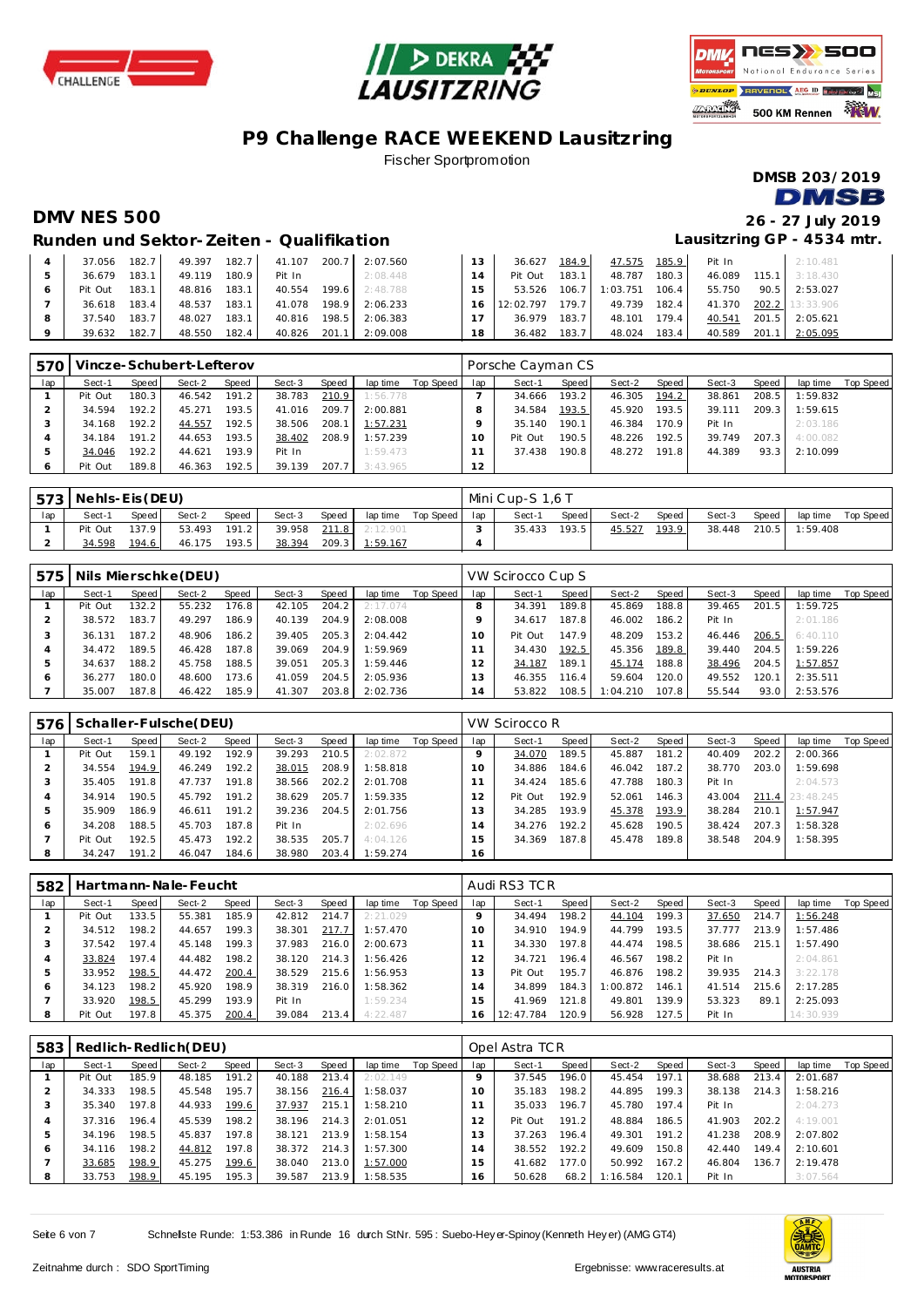





# **P9 Challenge RACE WEEKEND Lausitzring**

Fischer Sportpromotion

**DMSB 203/2019 DMSB** 

**DMV NES 500 26 - 27 July 2019 Lausitzring GP - 4534 mtr.**

#### **Runden und Sektor-Zeiten - Qualifikation**

|   | 37.056  | 182.7 | 49.397 | 182.7 | 41.107 | 200.7 | 2:07.560 | 13 | 36.627    | 184.9 | 47.575   | 185.9 | Pit In |       | 2:10.481        |
|---|---------|-------|--------|-------|--------|-------|----------|----|-----------|-------|----------|-------|--------|-------|-----------------|
|   | 36.679  | 183.1 | 49.119 | 180.9 | Pit In |       | 2:08.448 |    | Pit Out   | 183.1 | 48.787   | 180.3 | 46.089 | 115.1 | 3:18.430        |
|   | Pit Out | 183.1 | 48.816 | 183.1 | 40.554 | 199.6 | 2:48.788 | 15 | 53.526    | 106.7 | 1:03.751 | 106.4 | 55.750 | 90.5  | 2:53.027        |
|   | 36.618  | 183.4 | 48.537 | 183.1 | 41.078 | 198.9 | 2:06.233 | 16 | 12:02.797 | 179.7 | 49.739   | 182.4 | 41.370 |       | 202.2 13:33.906 |
| 8 | 37.540  | 183.7 | 48.027 | 183.1 | 40.816 | 198.5 | 2:06.383 |    | 36.979    | 183.7 | 48.101   | 179.4 | 40.541 | 201.5 | 2:05.621        |
|   | 39.632  | 182.7 | 48.550 | 182.4 | 40.826 | 201.1 | 2:09.008 | 18 | 36.482    | 183.7 | 48.024   | 183.4 | 40.589 | 201.7 | 2:05.095        |

| 570 |         |       | Vincze-Schubert-Lefterov |       |        |       |          |           |     | Porsche Cayman CS |        |        |       |        |       |          |           |
|-----|---------|-------|--------------------------|-------|--------|-------|----------|-----------|-----|-------------------|--------|--------|-------|--------|-------|----------|-----------|
| lap | Sect-1  | Speed | Sect-2                   | Speed | Sect-3 | Speed | lap time | Top Speed | lap | Sect-1            | Speed. | Sect-2 | Speed | Sect-3 | Speed | lap time | Top Speed |
|     | Pit Out | 180.3 | 46.542                   | 191.2 | 38.783 | 210.9 | 1:56.778 |           |     | 34.666            | 193.2  | 46.305 | 194.2 | 38.861 | 208.5 | 1:59.832 |           |
|     | 34.594  | 192.2 | 45.271                   | 193.5 | 41.016 | 209.7 | 2:00.881 |           |     | 34.584            | 193.5  | 45.920 | 193.5 | 39.111 | 209.3 | 1:59.615 |           |
|     | 34.168  | 192.2 | 44.557                   | 192.5 | 38.506 | 208.1 | 1:57.231 |           |     | 35.140            | 190.1  | 46.384 | 170.9 | Pit In |       | 2:03.186 |           |
|     | 34.184  | 191.2 | 44.653                   | 193.5 | 38.402 | 208.9 | 1:57.239 |           |     | Pit Out           | 190.5  | 48.226 | 192.5 | 39.749 | 207.3 | 4:00.082 |           |
|     | 34.046  | 192.2 | 44.621                   | 193.9 | Pit In |       | 1:59.473 |           |     | 37.438            | 190.8  | 48.272 | 191.8 | 44.389 | 93.3  | 2:10.099 |           |
|     | Pit Out | 189.8 | 46.363                   | 192.5 | 39.139 | 207.7 | 3:43.965 |           | 12  |                   |        |        |       |        |       |          |           |

|     | 573   Nehls-Eis (DEU) |       |        |       |        |       |          |           |     | Mini Cup-S 1.6 T |       |        |       |        |       |          |           |
|-----|-----------------------|-------|--------|-------|--------|-------|----------|-----------|-----|------------------|-------|--------|-------|--------|-------|----------|-----------|
| lap | Sect-1                | Speed | Sect-2 | Speed | Sect-3 | Speed | lap time | Top Speed | lap | Sect-1           | Speed | Sect-2 | Speed | Sect-3 | Speed | lap time | Top Speed |
|     | Pit Out               | 137.9 | 53.493 | 191.2 | 39.958 | 211.8 | 2:12.901 |           |     | 35.433           | 193.5 | 45.527 | 193.9 | 38.448 | 210.5 | 1:59.408 |           |
|     | 34.598                | 194.6 | 46.175 | 193.5 | 38.394 | 209.3 | 1:59.167 |           |     |                  |       |        |       |        |       |          |           |

| 575 |         |       | Nils Mierschke (DEU) |       |        |       |          |           |     | VW Scirocco Cup S |       |          |       |        |       |          |           |
|-----|---------|-------|----------------------|-------|--------|-------|----------|-----------|-----|-------------------|-------|----------|-------|--------|-------|----------|-----------|
| lap | Sect-1  | Speed | Sect-2               | Speed | Sect-3 | Speed | lap time | Top Speed | lap | Sect-1            | Speed | Sect-2   | Speed | Sect-3 | Speed | lap time | Top Speed |
|     | Pit Out | 132.2 | 55.232               | 176.8 | 42.105 | 204.2 | 2:17.074 |           |     | 34.391            | 189.8 | 45.869   | 188.8 | 39.465 | 201.5 | 1:59.725 |           |
|     | 38.572  | 183.7 | 49.297               | 186.9 | 40.139 | 204.9 | 2:08.008 |           |     | 34.617            | 187.8 | 46.002   | 186.2 | Pit In |       | 2:01.186 |           |
|     | 36.131  | 187.2 | 48.906               | 186.2 | 39.405 | 205.3 | 2:04.442 |           | 10  | Pit Out           | 147.9 | 48.209   | 153.2 | 46.446 | 206.5 | 6:40.110 |           |
|     | 34.472  | 189.5 | 46.428               | 187.8 | 39.069 | 204.9 | 1:59.969 |           |     | 34.430            | 192.5 | 45.356   | 189.8 | 39.440 | 204.5 | 1:59.226 |           |
| 5   | 34.637  | 188.2 | 45.758               | 188.5 | 39.051 | 205.3 | 1:59.446 |           |     | 34.187            | 189.1 | 45.174   | 188.8 | 38.496 | 204.5 | 1:57.857 |           |
| c   | 36.277  | 180.0 | 48.600               | 173.6 | 41.059 | 204.5 | 2:05.936 |           | 13  | 46.355            | 116.4 | 59.604   | 120.0 | 49.552 | 120.1 | 2:35.511 |           |
|     | 35.007  | 187.8 | 46.422               | 185.9 | 41.307 | 203.8 | 2:02.736 |           | 14  | 53.822            | 108.5 | 1:04.210 | 107.8 | 55.544 | 93.0  | 2:53.576 |           |

| 576 |         |       | Schaller-Fulsche (DEU) |       |        |       |          |           |               | VW Scirocco R |       |        |       |        |       |           |           |
|-----|---------|-------|------------------------|-------|--------|-------|----------|-----------|---------------|---------------|-------|--------|-------|--------|-------|-----------|-----------|
| lap | Sect-1  | Speed | Sect-2                 | Speed | Sect-3 | Speed | lap time | Top Speed | lap           | Sect-1        | Speed | Sect-2 | Speed | Sect-3 | Speed | lap time  | Top Speed |
|     | Pit Out | 159.1 | 49.192                 | 192.9 | 39.293 | 210.5 | 2:02.872 |           |               | 34.070        | 189.5 | 45.887 | 181.2 | 40.409 | 202.2 | 2:00.366  |           |
|     | 34.554  | 194.9 | 46.249                 | 192.2 | 38.015 | 208.9 | 1:58.818 |           | 10            | 34.886        | 184.6 | 46.042 | 187.2 | 38.770 | 203.0 | 1:59.698  |           |
|     | 35.405  | 191.8 | 47.737                 | 191.8 | 38.566 | 202.2 | 2:01.708 |           |               | 34.424        | 185.6 | 47.788 | 180.3 | Pit In |       | 2:04.573  |           |
|     | 34.914  | 190.5 | 45.792                 | 191.2 | 38.629 | 205.7 | 1:59.335 |           |               | Pit Out       | 192.9 | 52.061 | 146.3 | 43.004 | 211.4 | 23:48.245 |           |
| b   | 35.909  | 186.9 | 46.611                 | 191.2 | 39.236 | 204.5 | 2:01.756 |           | 3             | 34.285        | 193.9 | 45.378 | 193.9 | 38.284 | 210.1 | 1:57.947  |           |
| c   | 34.208  | 188.5 | 45.703                 | 187.8 | Pit In |       | 2:02.696 |           | $^{\prime}$ 4 | 34.276        | 192.2 | 45.628 | 190.5 | 38.424 | 207.3 | 1:58.328  |           |
|     | Pit Out | 192.5 | 45.473                 | 192.2 | 38.535 | 205.7 | 4:04.126 |           | 5             | 34.369        | 187.8 | 45.478 | 189.8 | 38.548 | 204.9 | 1:58.395  |           |
| 8   | 34.247  | 191.2 | 46.047                 | 184.6 | 38.980 | 203.4 | 1:59.274 |           | 16            |               |       |        |       |        |       |           |           |

| 582 |         |         | Hartmann-Nale-Feucht |       |        |       |          |           |               | Audi RS3 TCR |       |          |       |        |       |           |           |
|-----|---------|---------|----------------------|-------|--------|-------|----------|-----------|---------------|--------------|-------|----------|-------|--------|-------|-----------|-----------|
| lap | Sect-1  | Speed I | Sect-2               | Speed | Sect-3 | Speed | lap time | Top Speed | lap           | Sect-1       | Speed | Sect-2   | Speed | Sect-3 | Speed | lap time  | Top Speed |
|     | Pit Out | 133.5   | 55.381               | 185.9 | 42.812 | 214.7 | 2:21.029 |           |               | 34.494       | 198.2 | 44.104   | 199.3 | 37.650 | 214.7 | 1:56.248  |           |
|     | 34.512  | 198.2   | 44.657               | 199.3 | 38.301 | 217.7 | 1:57.470 |           |               | 34.910       | 194.9 | 44.799   | 193.5 | 37.777 | 213.9 | 1:57.486  |           |
|     | 37.542  | 197.4   | 45.148               | 199.3 | 37.983 | 216.0 | 2:00.673 |           |               | 34.330       | 197.8 | 44.474   | 198.5 | 38.686 | 215.1 | 1:57.490  |           |
|     | 33.824  | 197.4   | 44.482               | 198.2 | 38.120 | 214.3 | 1:56.426 |           | $\mathcal{P}$ | 34.721       | 196.4 | 46.567   | 198.2 | Pit In |       | 2:04.861  |           |
|     | 33.952  | 198.5   | 44.472               | 200.4 | 38.529 | 215.6 | 1:56.953 |           | 3             | Pit Out      | 195.7 | 46.876   | 198.2 | 39.935 | 214.3 | 3:22.178  |           |
| c   | 34.123  | 198.2   | 45.920               | 198.9 | 38.319 | 216.0 | 1:58.362 |           | 4             | 34.899       | 184.3 | 1:00.872 | 146.1 | 41.514 | 215.6 | 2:17.285  |           |
|     | 33.920  | 198.5   | 45.299               | 193.9 | Pit In |       | 1:59.234 |           | 5             | 41.969       | 121.8 | 49.801   | 139.9 | 53.323 | 89.   | 2:25.093  |           |
| 8   | Pit Out | 197.8   | 45.375               | 200.4 | 39.084 | 213.4 | 4:22.487 |           | 16            | 12:47.784    | 120.9 | 56.928   | 127.5 | Pit In |       | 14:30.939 |           |

|     | 583   Redlich-Redlich(DEU) |       |        |       |        |       |          |           |                | Opel Astra TC R |       |          |       |        |       |          |           |  |  |
|-----|----------------------------|-------|--------|-------|--------|-------|----------|-----------|----------------|-----------------|-------|----------|-------|--------|-------|----------|-----------|--|--|
| lap | Sect-1                     | Speed | Sect-2 | Speed | Sect-3 | Speed | lap time | Top Speed | lap            | Sect-1          | Speed | Sect-2   | Speed | Sect-3 | Speed | lap time | Top Speed |  |  |
|     | Pit Out                    | 185.9 | 48.185 | 191.2 | 40.188 | 213.4 | 2:02.149 |           |                | 37.545          | 196.0 | 45.454   | 197.1 | 38.688 | 213.4 | 2:01.687 |           |  |  |
|     | 34.333                     | 198.5 | 45.548 | 195.7 | 38.156 | 216.4 | 1:58.037 |           | $10^{-}$       | 35.183          | 198.2 | 44.895   | 199.3 | 38.138 | 214.3 | 1:58.216 |           |  |  |
|     | 35.340                     | 197.8 | 44.933 | 199.6 | 37.937 | 215.1 | 1:58.210 |           |                | 35.033          | 196.7 | 45.780   | 197.4 | Pit In |       | 2:04.273 |           |  |  |
|     | 37.316                     | 196.4 | 45.539 | 198.2 | 38.196 | 214.3 | 2:01.051 |           | $\mathcal{P}$  | Pit Out         | 191.2 | 48.884   | 186.5 | 41.903 | 202.2 | 4:19.001 |           |  |  |
| ь   | 34.196                     | 198.5 | 45.837 | 197.8 | 38.121 | 213.9 | 1:58.154 |           | 3              | 37.263          | 196.4 | 49.301   | 191.2 | 41.238 | 208.9 | 2:07.802 |           |  |  |
| O   | 34.116                     | 198.2 | 44.812 | 197.8 | 38.372 | 214.3 | 1:57.300 |           | $\overline{4}$ | 38.552          | 192.2 | 49.609   | 150.8 | 42.440 | 149.4 | 2:10.601 |           |  |  |
|     | 33.685                     | 198.9 | 45.275 | 199.6 | 38.040 | 213.0 | 1:57.000 |           | 5              | 41.682          | 177.0 | 50.992   | 167.2 | 46.804 | 136.7 | 2:19.478 |           |  |  |
| 8   | 33.753                     | 198.9 | 45.195 | 195.3 | 39.587 | 213.9 | 1:58.535 |           | 16             | 50.628          | 68.2  | 1:16.584 | 120.1 | Pit In |       | 3:07.564 |           |  |  |

Seite 6 von 7 Schnellste Runde: 1:53.386 in Runde 16 durch StNr. 595 : Suebo-Hey er-Spinoy (Kenneth Hey er) (AMG GT4)